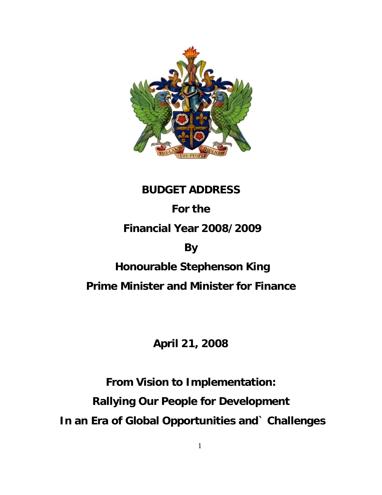

# **BUDGET ADDRESS**

# **For the**

# **Financial Year 2008/2009**

# **By**

# **Honourable Stephenson King**

# **Prime Minister and Minister for Finance**

# **April 21, 2008**

# **From Vision to Implementation: Rallying Our People for Development In an Era of Global Opportunities and` Challenges**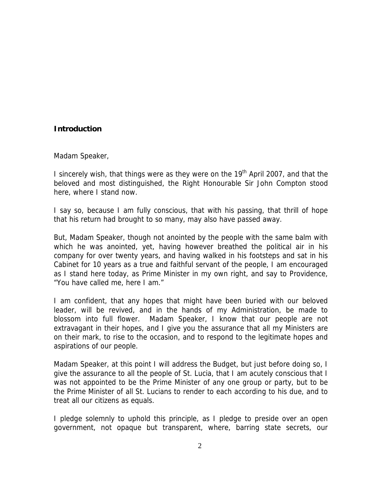#### **Introduction**

Madam Speaker,

I sincerely wish, that things were as they were on the 19<sup>th</sup> April 2007, and that the beloved and most distinguished, the Right Honourable Sir John Compton stood here, where I stand now.

I say so, because I am fully conscious, that with his passing, that thrill of hope that his return had brought to so many, may also have passed away.

But, Madam Speaker, though not anointed by the people with the same balm with which he was anointed, yet, having however breathed the political air in his company for over twenty years, and having walked in his footsteps and sat in his Cabinet for 10 years as a true and faithful servant of the people, I am encouraged as I stand here today, as Prime Minister in my own right, and say to Providence, "You have called me, here I am."

I am confident, that any hopes that might have been buried with our beloved leader, will be revived, and in the hands of my Administration, be made to blossom into full flower. Madam Speaker, I know that our people are not extravagant in their hopes, and I give you the assurance that all my Ministers are on their mark, to rise to the occasion, and to respond to the legitimate hopes and aspirations of our people.

Madam Speaker, at this point I will address the Budget, but just before doing so, I give the assurance to all the people of St. Lucia, that I am acutely conscious that I was not appointed to be the Prime Minister of any one group or party, but to be the Prime Minister of all St. Lucians to render to each according to his due, and to treat all our citizens as equals.

I pledge solemnly to uphold this principle, as I pledge to preside over an open government, not opaque but transparent, where, barring state secrets, our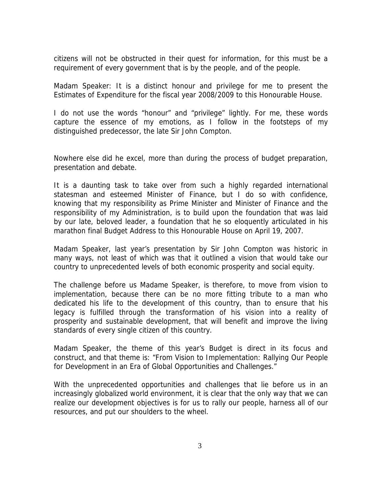citizens will not be obstructed in their quest for information, for this must be a requirement of every government that is by the people, and of the people.

Madam Speaker: It is a distinct honour and privilege for me to present the Estimates of Expenditure for the fiscal year 2008/2009 to this Honourable House.

I do not use the words "honour" and "privilege" lightly. For me, these words capture the essence of my emotions, as I follow in the footsteps of my distinguished predecessor, the late Sir John Compton.

Nowhere else did he excel, more than during the process of budget preparation, presentation and debate.

It is a daunting task to take over from such a highly regarded international statesman and esteemed Minister of Finance, but I do so with confidence, knowing that my responsibility as Prime Minister and Minister of Finance and the responsibility of my Administration, is to build upon the foundation that was laid by our late, beloved leader, a foundation that he so eloquently articulated in his marathon final Budget Address to this Honourable House on April 19, 2007.

Madam Speaker, last year's presentation by Sir John Compton was historic in many ways, not least of which was that it outlined a vision that would take our country to unprecedented levels of both economic prosperity and social equity.

The challenge before us Madame Speaker, is therefore, to move from vision to implementation, because there can be no more fitting tribute to a man who dedicated his life to the development of this country, than to ensure that his legacy is fulfilled through the transformation of his vision into a reality of prosperity and sustainable development, that will benefit and improve the living standards of every single citizen of this country.

Madam Speaker, the theme of this year's Budget is direct in its focus and construct, and that theme is: "From Vision to Implementation: Rallying Our People for Development in an Era of Global Opportunities and Challenges."

With the unprecedented opportunities and challenges that lie before us in an increasingly globalized world environment, it is clear that the only way that we can realize our development objectives is for us to rally our people, harness all of our resources, and put our shoulders to the wheel.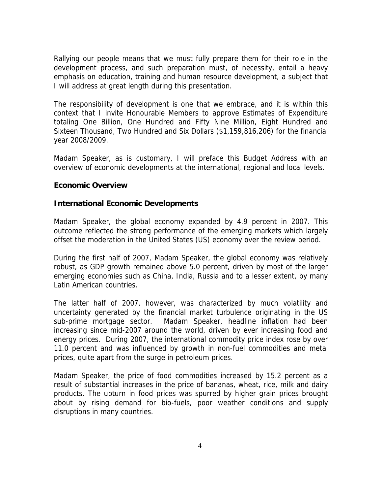Rallying our people means that we must fully prepare them for their role in the development process, and such preparation must, of necessity, entail a heavy emphasis on education, training and human resource development, a subject that I will address at great length during this presentation.

The responsibility of development is one that we embrace, and it is within this context that I invite Honourable Members to approve Estimates of Expenditure totaling One Billion, One Hundred and Fifty Nine Million, Eight Hundred and Sixteen Thousand, Two Hundred and Six Dollars (\$1,159,816,206) for the financial year 2008/2009.

Madam Speaker, as is customary, I will preface this Budget Address with an overview of economic developments at the international, regional and local levels.

#### **Economic Overview**

#### **International Economic Developments**

Madam Speaker, the global economy expanded by 4.9 percent in 2007. This outcome reflected the strong performance of the emerging markets which largely offset the moderation in the United States (US) economy over the review period.

During the first half of 2007, Madam Speaker, the global economy was relatively robust, as GDP growth remained above 5.0 percent, driven by most of the larger emerging economies such as China, India, Russia and to a lesser extent, by many Latin American countries.

The latter half of 2007, however, was characterized by much volatility and uncertainty generated by the financial market turbulence originating in the US sub-prime mortgage sector. Madam Speaker, headline inflation had been increasing since mid-2007 around the world, driven by ever increasing food and energy prices. During 2007, the international commodity price index rose by over 11.0 percent and was influenced by growth in non-fuel commodities and metal prices, quite apart from the surge in petroleum prices.

Madam Speaker, the price of food commodities increased by 15.2 percent as a result of substantial increases in the price of bananas, wheat, rice, milk and dairy products. The upturn in food prices was spurred by higher grain prices brought about by rising demand for bio-fuels, poor weather conditions and supply disruptions in many countries.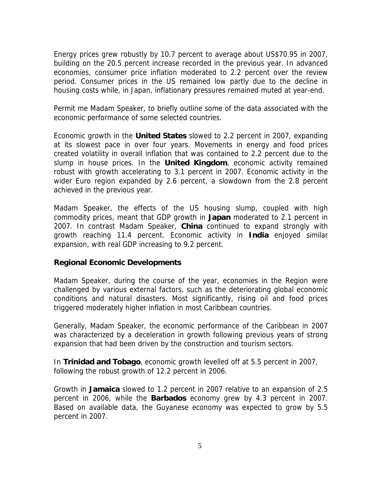Energy prices grew robustly by 10.7 percent to average about US\$70.95 in 2007, building on the 20.5 percent increase recorded in the previous year. In advanced economies, consumer price inflation moderated to 2.2 percent over the review period. Consumer prices in the US remained low partly due to the decline in housing costs while, in Japan, inflationary pressures remained muted at year-end.

Permit me Madam Speaker, to briefly outline some of the data associated with the economic performance of some selected countries.

Economic growth in the **United States** slowed to 2.2 percent in 2007, expanding at its slowest pace in over four years. Movements in energy and food prices created volatility in overall inflation that was contained to 2.2 percent due to the slump in house prices. In the **United Kingdom**, economic activity remained robust with growth accelerating to 3.1 percent in 2007. Economic activity in the wider Euro region expanded by 2.6 percent, a slowdown from the 2.8 percent achieved in the previous year.

Madam Speaker, the effects of the US housing slump, coupled with high commodity prices, meant that GDP growth in **Japan** moderated to 2.1 percent in 2007. In contrast Madam Speaker, **China** continued to expand strongly with growth reaching 11.4 percent. Economic activity in **India** enjoyed similar expansion, with real GDP increasing to 9.2 percent.

#### **Regional Economic Developments**

Madam Speaker, during the course of the year, economies in the Region were challenged by various external factors, such as the deteriorating global economic conditions and natural disasters. Most significantly, rising oil and food prices triggered moderately higher inflation in most Caribbean countries.

Generally, Madam Speaker, the economic performance of the Caribbean in 2007 was characterized by a deceleration in growth following previous years of strong expansion that had been driven by the construction and tourism sectors.

In **Trinidad and Tobago**, economic growth levelled off at 5.5 percent in 2007, following the robust growth of 12.2 percent in 2006.

Growth in **Jamaica** slowed to 1.2 percent in 2007 relative to an expansion of 2.5 percent in 2006, while the **Barbados** economy grew by 4.3 percent in 2007. Based on available data, the Guyanese economy was expected to grow by 5.5 percent in 2007.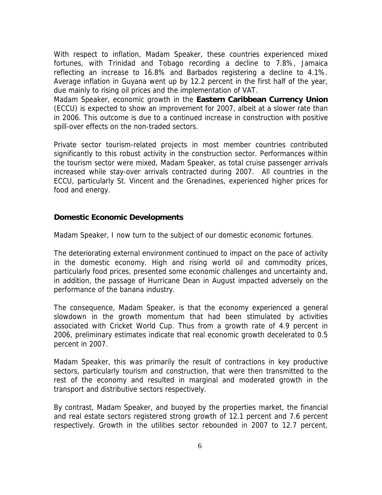With respect to inflation, Madam Speaker, these countries experienced mixed fortunes, with Trinidad and Tobago recording a decline to 7.8%, Jamaica reflecting an increase to 16.8% and Barbados registering a decline to 4.1%. Average inflation in Guyana went up by 12.2 percent in the first half of the year, due mainly to rising oil prices and the implementation of VAT.

Madam Speaker, economic growth in the **Eastern Caribbean Currency Union** (ECCU) is expected to show an improvement for 2007, albeit at a slower rate than in 2006. This outcome is due to a continued increase in construction with positive spill-over effects on the non-traded sectors.

Private sector tourism-related projects in most member countries contributed significantly to this robust activity in the construction sector. Performances within the tourism sector were mixed, Madam Speaker, as total cruise passenger arrivals increased while stay-over arrivals contracted during 2007. All countries in the ECCU, particularly St. Vincent and the Grenadines, experienced higher prices for food and energy.

#### **Domestic Economic Developments**

Madam Speaker, I now turn to the subject of our domestic economic fortunes.

The deteriorating external environment continued to impact on the pace of activity in the domestic economy. High and rising world oil and commodity prices, particularly food prices, presented some economic challenges and uncertainty and, in addition, the passage of Hurricane Dean in August impacted adversely on the performance of the banana industry.

The consequence, Madam Speaker, is that the economy experienced a general slowdown in the growth momentum that had been stimulated by activities associated with Cricket World Cup. Thus from a growth rate of 4.9 percent in 2006, preliminary estimates indicate that real economic growth decelerated to 0.5 percent in 2007.

Madam Speaker, this was primarily the result of contractions in key productive sectors, particularly tourism and construction, that were then transmitted to the rest of the economy and resulted in marginal and moderated growth in the transport and distributive sectors respectively.

By contrast, Madam Speaker, and buoyed by the properties market, the financial and real estate sectors registered strong growth of 12.1 percent and 7.6 percent respectively. Growth in the utilities sector rebounded in 2007 to 12.7 percent,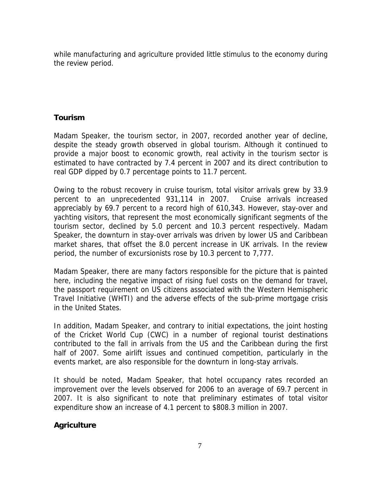while manufacturing and agriculture provided little stimulus to the economy during the review period.

#### **Tourism**

Madam Speaker, the tourism sector, in 2007, recorded another year of decline, despite the steady growth observed in global tourism. Although it continued to provide a major boost to economic growth, real activity in the tourism sector is estimated to have contracted by 7.4 percent in 2007 and its direct contribution to real GDP dipped by 0.7 percentage points to 11.7 percent.

Owing to the robust recovery in cruise tourism, total visitor arrivals grew by 33.9 percent to an unprecedented 931,114 in 2007. Cruise arrivals increased appreciably by 69.7 percent to a record high of 610,343. However, stay-over and yachting visitors, that represent the most economically significant segments of the tourism sector, declined by 5.0 percent and 10.3 percent respectively. Madam Speaker, the downturn in stay-over arrivals was driven by lower US and Caribbean market shares, that offset the 8.0 percent increase in UK arrivals. In the review period, the number of excursionists rose by 10.3 percent to 7,777.

Madam Speaker, there are many factors responsible for the picture that is painted here, including the negative impact of rising fuel costs on the demand for travel, the passport requirement on US citizens associated with the Western Hemispheric Travel Initiative (WHTI) and the adverse effects of the sub-prime mortgage crisis in the United States.

In addition, Madam Speaker, and contrary to initial expectations, the joint hosting of the Cricket World Cup (CWC) in a number of regional tourist destinations contributed to the fall in arrivals from the US and the Caribbean during the first half of 2007. Some airlift issues and continued competition, particularly in the events market, are also responsible for the downturn in long-stay arrivals.

It should be noted, Madam Speaker, that hotel occupancy rates recorded an improvement over the levels observed for 2006 to an average of 69.7 percent in 2007. It is also significant to note that preliminary estimates of total visitor expenditure show an increase of 4.1 percent to \$808.3 million in 2007.

#### **Agriculture**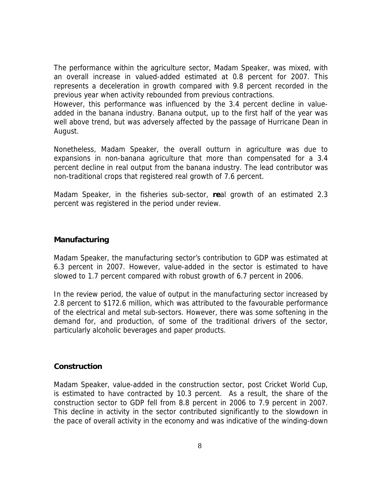The performance within the agriculture sector, Madam Speaker, was mixed, with an overall increase in valued-added estimated at 0.8 percent for 2007. This represents a deceleration in growth compared with 9.8 percent recorded in the previous year when activity rebounded from previous contractions.

However, this performance was influenced by the 3.4 percent decline in valueadded in the banana industry. Banana output, up to the first half of the year was well above trend, but was adversely affected by the passage of Hurricane Dean in August.

Nonetheless, Madam Speaker, the overall outturn in agriculture was due to expansions in non-banana agriculture that more than compensated for a 3.4 percent decline in real output from the banana industry. The lead contributor was non-traditional crops that registered real growth of 7.6 percent.

Madam Speaker, in the fisheries sub-sector, **re**al growth of an estimated 2.3 percent was registered in the period under review.

#### **Manufacturing**

Madam Speaker, the manufacturing sector's contribution to GDP was estimated at 6.3 percent in 2007. However, value-added in the sector is estimated to have slowed to 1.7 percent compared with robust growth of 6.7 percent in 2006.

In the review period, the value of output in the manufacturing sector increased by 2.8 percent to \$172.6 million, which was attributed to the favourable performance of the electrical and metal sub-sectors. However, there was some softening in the demand for, and production, of some of the traditional drivers of the sector, particularly alcoholic beverages and paper products.

#### **Construction**

Madam Speaker, value-added in the construction sector, post Cricket World Cup, is estimated to have contracted by 10.3 percent. As a result, the share of the construction sector to GDP fell from 8.8 percent in 2006 to 7.9 percent in 2007. This decline in activity in the sector contributed significantly to the slowdown in the pace of overall activity in the economy and was indicative of the winding-down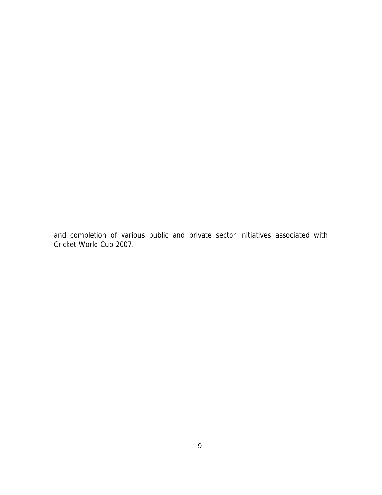and completion of various public and private sector initiatives associated with Cricket World Cup 2007.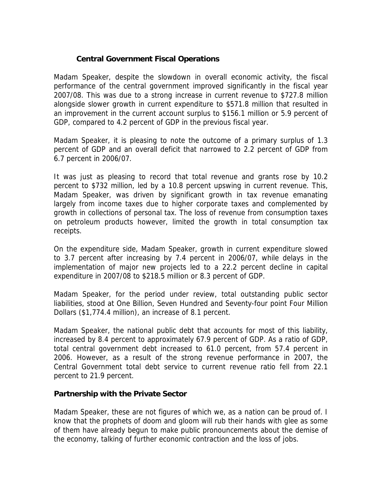#### **Central Government Fiscal Operations**

Madam Speaker, despite the slowdown in overall economic activity, the fiscal performance of the central government improved significantly in the fiscal year 2007/08. This was due to a strong increase in current revenue to \$727.8 million alongside slower growth in current expenditure to \$571.8 million that resulted in an improvement in the current account surplus to \$156.1 million or 5.9 percent of GDP, compared to 4.2 percent of GDP in the previous fiscal year.

Madam Speaker, it is pleasing to note the outcome of a primary surplus of 1.3 percent of GDP and an overall deficit that narrowed to 2.2 percent of GDP from 6.7 percent in 2006/07.

It was just as pleasing to record that total revenue and grants rose by 10.2 percent to \$732 million, led by a 10.8 percent upswing in current revenue. This, Madam Speaker, was driven by significant growth in tax revenue emanating largely from income taxes due to higher corporate taxes and complemented by growth in collections of personal tax. The loss of revenue from consumption taxes on petroleum products however, limited the growth in total consumption tax receipts.

On the expenditure side, Madam Speaker, growth in current expenditure slowed to 3.7 percent after increasing by 7.4 percent in 2006/07, while delays in the implementation of major new projects led to a 22.2 percent decline in capital expenditure in 2007/08 to \$218.5 million or 8.3 percent of GDP.

Madam Speaker, for the period under review, total outstanding public sector liabilities, stood at One Billion, Seven Hundred and Seventy-four point Four Million Dollars (\$1,774.4 million), an increase of 8.1 percent.

Madam Speaker, the national public debt that accounts for most of this liability, increased by 8.4 percent to approximately 67.9 percent of GDP. As a ratio of GDP, total central government debt increased to 61.0 percent, from 57.4 percent in 2006. However, as a result of the strong revenue performance in 2007, the Central Government total debt service to current revenue ratio fell from 22.1 percent to 21.9 percent.

#### **Partnership with the Private Sector**

Madam Speaker, these are not figures of which we, as a nation can be proud of. I know that the prophets of doom and gloom will rub their hands with glee as some of them have already begun to make public pronouncements about the demise of the economy, talking of further economic contraction and the loss of jobs.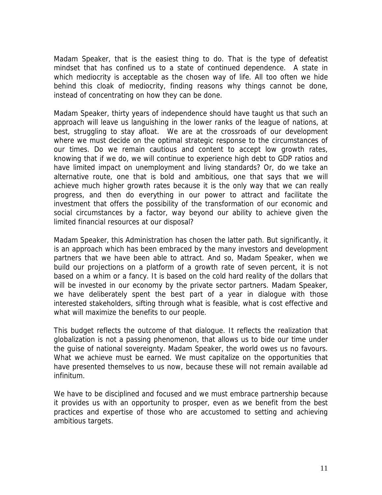Madam Speaker, that is the easiest thing to do. That is the type of defeatist mindset that has confined us to a state of continued dependence. A state in which mediocrity is acceptable as the chosen way of life. All too often we hide behind this cloak of mediocrity, finding reasons why things cannot be done, instead of concentrating on how they can be done.

Madam Speaker, thirty years of independence should have taught us that such an approach will leave us languishing in the lower ranks of the league of nations, at best, struggling to stay afloat. We are at the crossroads of our development where we must decide on the optimal strategic response to the circumstances of our times. Do we remain cautious and content to accept low growth rates, knowing that if we do, we will continue to experience high debt to GDP ratios and have limited impact on unemployment and living standards? Or, do we take an alternative route, one that is bold and ambitious, one that says that we will achieve much higher growth rates because it is the only way that we can really progress, and then do everything in our power to attract and facilitate the investment that offers the possibility of the transformation of our economic and social circumstances by a factor, way beyond our ability to achieve given the limited financial resources at our disposal?

Madam Speaker, this Administration has chosen the latter path. But significantly, it is an approach which has been embraced by the many investors and development partners that we have been able to attract. And so, Madam Speaker, when we build our projections on a platform of a growth rate of seven percent, it is not based on a whim or a fancy. It is based on the cold hard reality of the dollars that will be invested in our economy by the private sector partners. Madam Speaker, we have deliberately spent the best part of a year in dialogue with those interested stakeholders, sifting through what is feasible, what is cost effective and what will maximize the benefits to our people.

This budget reflects the outcome of that dialogue. It reflects the realization that globalization is not a passing phenomenon, that allows us to bide our time under the guise of national sovereignty. Madam Speaker, the world owes us no favours. What we achieve must be earned. We must capitalize on the opportunities that have presented themselves to us now, because these will not remain available ad infinitum.

We have to be disciplined and focused and we must embrace partnership because it provides us with an opportunity to prosper, even as we benefit from the best practices and expertise of those who are accustomed to setting and achieving ambitious targets.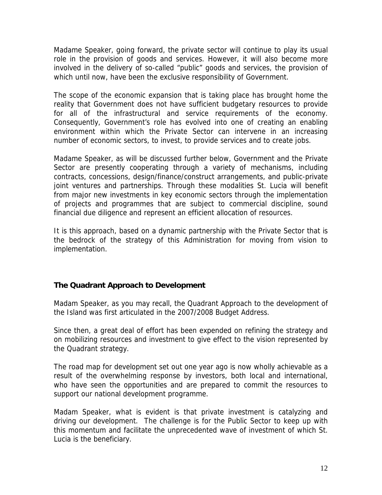Madame Speaker, going forward, the private sector will continue to play its usual role in the provision of goods and services. However, it will also become more involved in the delivery of so-called "public" goods and services, the provision of which until now, have been the exclusive responsibility of Government.

The scope of the economic expansion that is taking place has brought home the reality that Government does not have sufficient budgetary resources to provide for all of the infrastructural and service requirements of the economy. Consequently, Government's role has evolved into one of creating an enabling environment within which the Private Sector can intervene in an increasing number of economic sectors, to invest, to provide services and to create jobs.

Madame Speaker, as will be discussed further below, Government and the Private Sector are presently cooperating through a variety of mechanisms, including contracts, concessions, design/finance/construct arrangements, and public-private joint ventures and partnerships. Through these modalities St. Lucia will benefit from major new investments in key economic sectors through the implementation of projects and programmes that are subject to commercial discipline, sound financial due diligence and represent an efficient allocation of resources.

It is this approach, based on a dynamic partnership with the Private Sector that is the bedrock of the strategy of this Administration for moving from vision to implementation.

# **The Quadrant Approach to Development**

Madam Speaker, as you may recall, the Quadrant Approach to the development of the Island was first articulated in the 2007/2008 Budget Address.

Since then, a great deal of effort has been expended on refining the strategy and on mobilizing resources and investment to give effect to the vision represented by the Quadrant strategy.

The road map for development set out one year ago is now wholly achievable as a result of the overwhelming response by investors, both local and international, who have seen the opportunities and are prepared to commit the resources to support our national development programme.

Madam Speaker, what is evident is that private investment is catalyzing and driving our development. The challenge is for the Public Sector to keep up with this momentum and facilitate the unprecedented wave of investment of which St. Lucia is the beneficiary.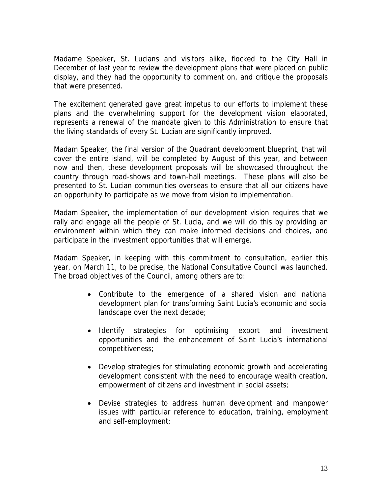Madame Speaker, St. Lucians and visitors alike, flocked to the City Hall in December of last year to review the development plans that were placed on public display, and they had the opportunity to comment on, and critique the proposals that were presented.

The excitement generated gave great impetus to our efforts to implement these plans and the overwhelming support for the development vision elaborated, represents a renewal of the mandate given to this Administration to ensure that the living standards of every St. Lucian are significantly improved.

Madam Speaker, the final version of the Quadrant development blueprint, that will cover the entire island, will be completed by August of this year, and between now and then, these development proposals will be showcased throughout the country through road-shows and town-hall meetings. These plans will also be presented to St. Lucian communities overseas to ensure that all our citizens have an opportunity to participate as we move from vision to implementation.

Madam Speaker, the implementation of our development vision requires that we rally and engage all the people of St. Lucia, and we will do this by providing an environment within which they can make informed decisions and choices, and participate in the investment opportunities that will emerge.

Madam Speaker, in keeping with this commitment to consultation, earlier this year, on March 11, to be precise, the National Consultative Council was launched. The broad objectives of the Council, among others are to:

- Contribute to the emergence of a shared vision and national development plan for transforming Saint Lucia's economic and social landscape over the next decade;
- Identify strategies for optimising export and investment opportunities and the enhancement of Saint Lucia's international competitiveness;
- Develop strategies for stimulating economic growth and accelerating development consistent with the need to encourage wealth creation, empowerment of citizens and investment in social assets;
- Devise strategies to address human development and manpower issues with particular reference to education, training, employment and self-employment;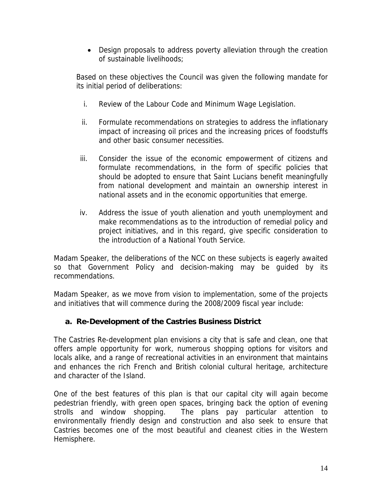• Design proposals to address poverty alleviation through the creation of sustainable livelihoods;

Based on these objectives the Council was given the following mandate for its initial period of deliberations:

- i. Review of the Labour Code and Minimum Wage Legislation.
- ii. Formulate recommendations on strategies to address the inflationary impact of increasing oil prices and the increasing prices of foodstuffs and other basic consumer necessities.
- iii. Consider the issue of the economic empowerment of citizens and formulate recommendations, in the form of specific policies that should be adopted to ensure that Saint Lucians benefit meaningfully from national development and maintain an ownership interest in national assets and in the economic opportunities that emerge.
- iv. Address the issue of youth alienation and youth unemployment and make recommendations as to the introduction of remedial policy and project initiatives, and in this regard, give specific consideration to the introduction of a National Youth Service.

Madam Speaker, the deliberations of the NCC on these subjects is eagerly awaited so that Government Policy and decision-making may be guided by its recommendations.

Madam Speaker, as we move from vision to implementation, some of the projects and initiatives that will commence during the 2008/2009 fiscal year include:

# **a. Re-Development of the Castries Business District**

The Castries Re-development plan envisions a city that is safe and clean, one that offers ample opportunity for work, numerous shopping options for visitors and locals alike, and a range of recreational activities in an environment that maintains and enhances the rich French and British colonial cultural heritage, architecture and character of the Island.

One of the best features of this plan is that our capital city will again become pedestrian friendly, with green open spaces, bringing back the option of evening strolls and window shopping. The plans pay particular attention to environmentally friendly design and construction and also seek to ensure that Castries becomes one of the most beautiful and cleanest cities in the Western Hemisphere.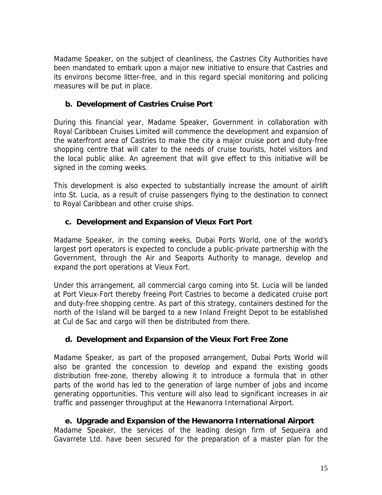Madame Speaker, on the subject of cleanliness, the Castries City Authorities have been mandated to embark upon a major new initiative to ensure that Castries and its environs become litter-free, and in this regard special monitoring and policing measures will be put in place.

# **b. Development of Castries Cruise Port**

During this financial year, Madame Speaker, Government in collaboration with Royal Caribbean Cruises Limited will commence the development and expansion of the waterfront area of Castries to make the city a major cruise port and duty-free shopping centre that will cater to the needs of cruise tourists, hotel visitors and the local public alike. An agreement that will give effect to this initiative will be signed in the coming weeks.

This development is also expected to substantially increase the amount of airlift into St. Lucia, as a result of cruise passengers flying to the destination to connect to Royal Caribbean and other cruise ships.

# **c. Development and Expansion of Vieux Fort Port**

Madame Speaker, in the coming weeks, Dubai Ports World, one of the world's largest port operators is expected to conclude a public-private partnership with the Government, through the Air and Seaports Authority to manage, develop and expand the port operations at Vieux Fort.

Under this arrangement, all commercial cargo coming into St. Lucia will be landed at Port Vieux-Fort thereby freeing Port Castries to become a dedicated cruise port and duty-free shopping centre. As part of this strategy, containers destined for the north of the Island will be barged to a new Inland Freight Depot to be established at Cul de Sac and cargo will then be distributed from there.

# **d. Development and Expansion of the Vieux Fort Free Zone**

Madame Speaker, as part of the proposed arrangement, Dubai Ports World will also be granted the concession to develop and expand the existing goods distribution free-zone, thereby allowing it to introduce a formula that in other parts of the world has led to the generation of large number of jobs and income generating opportunities. This venture will also lead to significant increases in air traffic and passenger throughput at the Hewanorra International Airport.

# **e. Upgrade and Expansion of the Hewanorra International Airport**

Madame Speaker, the services of the leading design firm of Sequeira and Gavarrete Ltd. have been secured for the preparation of a master plan for the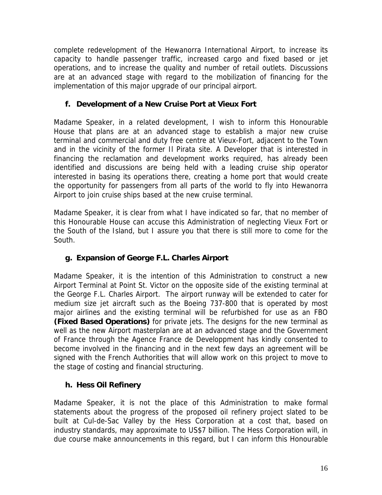complete redevelopment of the Hewanorra International Airport, to increase its capacity to handle passenger traffic, increased cargo and fixed based or jet operations, and to increase the quality and number of retail outlets. Discussions are at an advanced stage with regard to the mobilization of financing for the implementation of this major upgrade of our principal airport.

# **f. Development of a New Cruise Port at Vieux Fort**

Madame Speaker, in a related development, I wish to inform this Honourable House that plans are at an advanced stage to establish a major new cruise terminal and commercial and duty free centre at Vieux-Fort, adjacent to the Town and in the vicinity of the former Il Pirata site. A Developer that is interested in financing the reclamation and development works required, has already been identified and discussions are being held with a leading cruise ship operator interested in basing its operations there, creating a home port that would create the opportunity for passengers from all parts of the world to fly into Hewanorra Airport to join cruise ships based at the new cruise terminal.

Madame Speaker, it is clear from what I have indicated so far, that no member of this Honourable House can accuse this Administration of neglecting Vieux Fort or the South of the Island, but I assure you that there is still more to come for the South.

# **g. Expansion of George F.L. Charles Airport**

Madame Speaker, it is the intention of this Administration to construct a new Airport Terminal at Point St. Victor on the opposite side of the existing terminal at the George F.L. Charles Airport. The airport runway will be extended to cater for medium size jet aircraft such as the Boeing 737-800 that is operated by most major airlines and the existing terminal will be refurbished for use as an FBO **(Fixed Based Operations)** for private jets. The designs for the new terminal as well as the new Airport masterplan are at an advanced stage and the Government of France through the Agence France de Developpment has kindly consented to become involved in the financing and in the next few days an agreement will be signed with the French Authorities that will allow work on this project to move to the stage of costing and financial structuring.

# **h. Hess Oil Refinery**

Madame Speaker, it is not the place of this Administration to make formal statements about the progress of the proposed oil refinery project slated to be built at Cul-de-Sac Valley by the Hess Corporation at a cost that, based on industry standards, may approximate to US\$7 billion. The Hess Corporation will, in due course make announcements in this regard, but I can inform this Honourable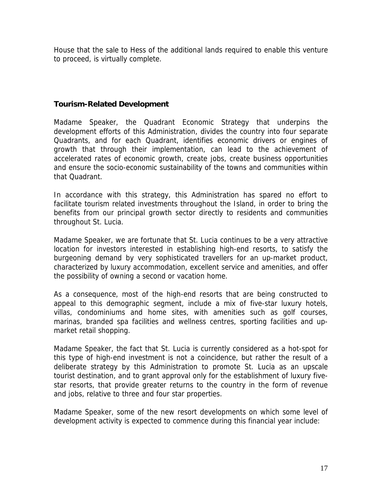House that the sale to Hess of the additional lands required to enable this venture to proceed, is virtually complete.

# **Tourism-Related Development**

Madame Speaker, the Quadrant Economic Strategy that underpins the development efforts of this Administration, divides the country into four separate Quadrants, and for each Quadrant, identifies economic drivers or engines of growth that through their implementation, can lead to the achievement of accelerated rates of economic growth, create jobs, create business opportunities and ensure the socio-economic sustainability of the towns and communities within that Quadrant.

In accordance with this strategy, this Administration has spared no effort to facilitate tourism related investments throughout the Island, in order to bring the benefits from our principal growth sector directly to residents and communities throughout St. Lucia.

Madame Speaker, we are fortunate that St. Lucia continues to be a very attractive location for investors interested in establishing high-end resorts, to satisfy the burgeoning demand by very sophisticated travellers for an up-market product, characterized by luxury accommodation, excellent service and amenities, and offer the possibility of owning a second or vacation home.

As a consequence, most of the high-end resorts that are being constructed to appeal to this demographic segment, include a mix of five-star luxury hotels, villas, condominiums and home sites, with amenities such as golf courses, marinas, branded spa facilities and wellness centres, sporting facilities and upmarket retail shopping.

Madame Speaker, the fact that St. Lucia is currently considered as a hot-spot for this type of high-end investment is not a coincidence, but rather the result of a deliberate strategy by this Administration to promote St. Lucia as an upscale tourist destination, and to grant approval only for the establishment of luxury fivestar resorts, that provide greater returns to the country in the form of revenue and jobs, relative to three and four star properties.

Madame Speaker, some of the new resort developments on which some level of development activity is expected to commence during this financial year include: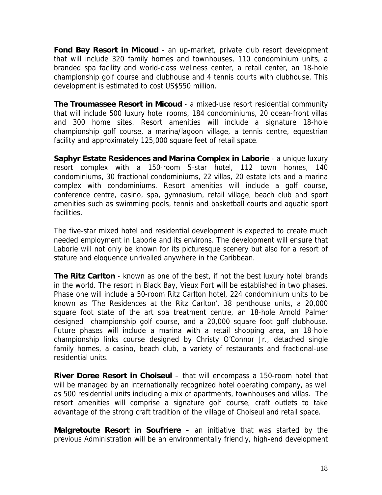**Fond Bay Resort in Micoud** - an up-market, private club resort development that will include 320 family homes and townhouses, 110 condominium units, a branded spa facility and world-class wellness center, a retail center, an 18-hole championship golf course and clubhouse and 4 tennis courts with clubhouse. This development is estimated to cost US\$550 million.

**The Troumassee Resort in Micoud** - a mixed-use resort residential community that will include 500 luxury hotel rooms, 184 condominiums, 20 ocean-front villas and 300 home sites. Resort amenities will include a signature 18-hole championship golf course, a marina/lagoon village, a tennis centre, equestrian facility and approximately 125,000 square feet of retail space.

**Saphyr Estate Residences and Marina Complex in Laborie** - a unique luxury resort complex with a 150-room 5-star hotel, 112 town homes, 140 condominiums, 30 fractional condominiums, 22 villas, 20 estate lots and a marina complex with condominiums. Resort amenities will include a golf course, conference centre, casino, spa, gymnasium, retail village, beach club and sport amenities such as swimming pools, tennis and basketball courts and aquatic sport facilities.

The five-star mixed hotel and residential development is expected to create much needed employment in Laborie and its environs. The development will ensure that Laborie will not only be known for its picturesque scenery but also for a resort of stature and eloquence unrivalled anywhere in the Caribbean.

**The Ritz Carlton** - known as one of the best, if not the best luxury hotel brands in the world. The resort in Black Bay, Vieux Fort will be established in two phases. Phase one will include a 50-room Ritz Carlton hotel, 224 condominium units to be known as 'The Residences at the Ritz Carlton', 38 penthouse units, a 20,000 square foot state of the art spa treatment centre, an 18-hole Arnold Palmer designed championship golf course, and a 20,000 square foot golf clubhouse. Future phases will include a marina with a retail shopping area, an 18-hole championship links course designed by Christy O'Connor Jr., detached single family homes, a casino, beach club, a variety of restaurants and fractional-use residential units.

**River Doree Resort in Choiseul** – that will encompass a 150-room hotel that will be managed by an internationally recognized hotel operating company, as well as 500 residential units including a mix of apartments, townhouses and villas. The resort amenities will comprise a signature golf course, craft outlets to take advantage of the strong craft tradition of the village of Choiseul and retail space.

**Malgretoute Resort in Soufriere** – an initiative that was started by the previous Administration will be an environmentally friendly, high-end development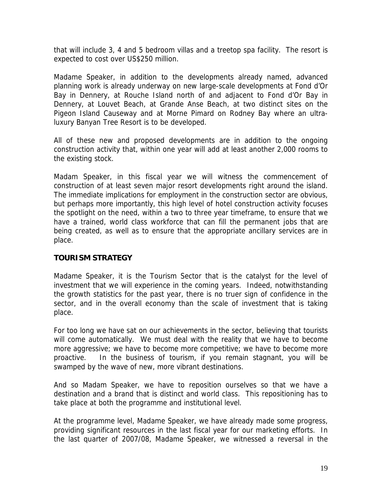that will include 3, 4 and 5 bedroom villas and a treetop spa facility. The resort is expected to cost over US\$250 million.

Madame Speaker, in addition to the developments already named, advanced planning work is already underway on new large-scale developments at Fond d'Or Bay in Dennery, at Rouche Island north of and adjacent to Fond d'Or Bay in Dennery, at Louvet Beach, at Grande Anse Beach, at two distinct sites on the Pigeon Island Causeway and at Morne Pimard on Rodney Bay where an ultraluxury Banyan Tree Resort is to be developed.

All of these new and proposed developments are in addition to the ongoing construction activity that, within one year will add at least another 2,000 rooms to the existing stock.

Madam Speaker, in this fiscal year we will witness the commencement of construction of at least seven major resort developments right around the island. The immediate implications for employment in the construction sector are obvious, but perhaps more importantly, this high level of hotel construction activity focuses the spotlight on the need, within a two to three year timeframe, to ensure that we have a trained, world class workforce that can fill the permanent jobs that are being created, as well as to ensure that the appropriate ancillary services are in place.

# **TOURISM STRATEGY**

Madame Speaker, it is the Tourism Sector that is the catalyst for the level of investment that we will experience in the coming years. Indeed, notwithstanding the growth statistics for the past year, there is no truer sign of confidence in the sector, and in the overall economy than the scale of investment that is taking place.

For too long we have sat on our achievements in the sector, believing that tourists will come automatically. We must deal with the reality that we have to become more aggressive; we have to become more competitive; we have to become more proactive. In the business of tourism, if you remain stagnant, you will be swamped by the wave of new, more vibrant destinations.

And so Madam Speaker, we have to reposition ourselves so that we have a destination and a brand that is distinct and world class. This repositioning has to take place at both the programme and institutional level.

At the programme level, Madame Speaker, we have already made some progress, providing significant resources in the last fiscal year for our marketing efforts. In the last quarter of 2007/08, Madame Speaker, we witnessed a reversal in the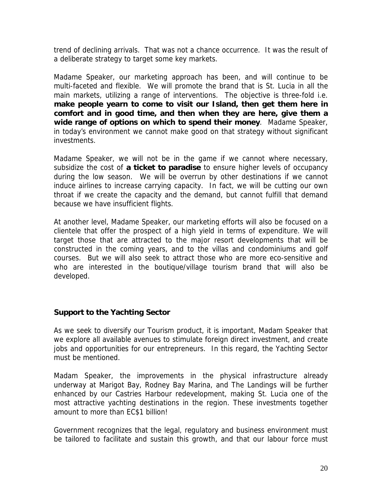trend of declining arrivals. That was not a chance occurrence. It was the result of a deliberate strategy to target some key markets.

Madame Speaker, our marketing approach has been, and will continue to be multi-faceted and flexible. We will promote the brand that is St. Lucia in all the main markets, utilizing a range of interventions. The objective is three-fold i.e. **make people yearn to come to visit our Island, then get them here in comfort and in good time, and then when they are here, give them a wide range of options on which to spend their money**. Madame Speaker, in today's environment we cannot make good on that strategy without significant investments.

Madame Speaker, we will not be in the game if we cannot where necessary, subsidize the cost of **a ticket to paradise** to ensure higher levels of occupancy during the low season. We will be overrun by other destinations if we cannot induce airlines to increase carrying capacity. In fact, we will be cutting our own throat if we create the capacity and the demand, but cannot fulfill that demand because we have insufficient flights.

At another level, Madame Speaker, our marketing efforts will also be focused on a clientele that offer the prospect of a high yield in terms of expenditure. We will target those that are attracted to the major resort developments that will be constructed in the coming years, and to the villas and condominiums and golf courses. But we will also seek to attract those who are more eco-sensitive and who are interested in the boutique/village tourism brand that will also be developed.

# **Support to the Yachting Sector**

As we seek to diversify our Tourism product, it is important, Madam Speaker that we explore all available avenues to stimulate foreign direct investment, and create jobs and opportunities for our entrepreneurs. In this regard, the Yachting Sector must be mentioned.

Madam Speaker, the improvements in the physical infrastructure already underway at Marigot Bay, Rodney Bay Marina, and The Landings will be further enhanced by our Castries Harbour redevelopment, making St. Lucia one of the most attractive yachting destinations in the region. These investments together amount to more than EC\$1 billion!

Government recognizes that the legal, regulatory and business environment must be tailored to facilitate and sustain this growth, and that our labour force must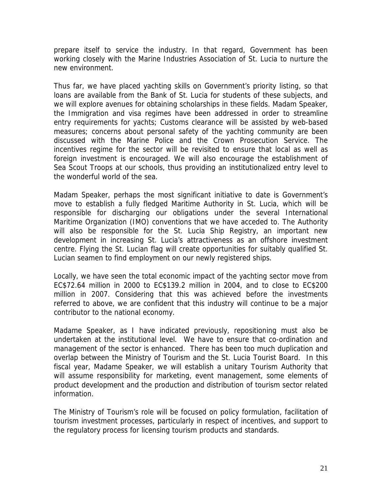prepare itself to service the industry. In that regard, Government has been working closely with the Marine Industries Association of St. Lucia to nurture the new environment.

Thus far, we have placed yachting skills on Government's priority listing, so that loans are available from the Bank of St. Lucia for students of these subjects, and we will explore avenues for obtaining scholarships in these fields. Madam Speaker, the Immigration and visa regimes have been addressed in order to streamline entry requirements for yachts; Customs clearance will be assisted by web-based measures; concerns about personal safety of the yachting community are been discussed with the Marine Police and the Crown Prosecution Service. The incentives regime for the sector will be revisited to ensure that local as well as foreign investment is encouraged. We will also encourage the establishment of Sea Scout Troops at our schools, thus providing an institutionalized entry level to the wonderful world of the sea.

Madam Speaker, perhaps the most significant initiative to date is Government's move to establish a fully fledged Maritime Authority in St. Lucia, which will be responsible for discharging our obligations under the several International Maritime Organization (IMO) conventions that we have acceded to. The Authority will also be responsible for the St. Lucia Ship Registry, an important new development in increasing St. Lucia's attractiveness as an offshore investment centre. Flying the St. Lucian flag will create opportunities for suitably qualified St. Lucian seamen to find employment on our newly registered ships.

Locally, we have seen the total economic impact of the yachting sector move from EC\$72.64 million in 2000 to EC\$139.2 million in 2004, and to close to EC\$200 million in 2007. Considering that this was achieved before the investments referred to above, we are confident that this industry will continue to be a major contributor to the national economy.

Madame Speaker, as I have indicated previously, repositioning must also be undertaken at the institutional level. We have to ensure that co-ordination and management of the sector is enhanced. There has been too much duplication and overlap between the Ministry of Tourism and the St. Lucia Tourist Board. In this fiscal year, Madame Speaker, we will establish a unitary Tourism Authority that will assume responsibility for marketing, event management, some elements of product development and the production and distribution of tourism sector related information.

The Ministry of Tourism's role will be focused on policy formulation, facilitation of tourism investment processes, particularly in respect of incentives, and support to the regulatory process for licensing tourism products and standards.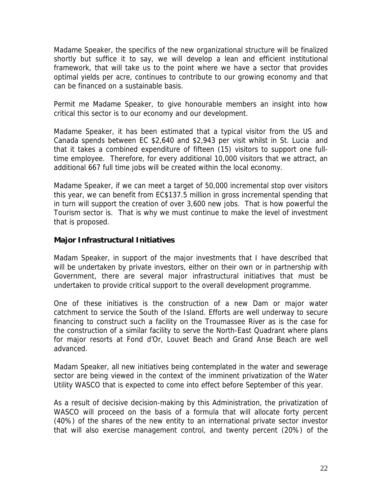Madame Speaker, the specifics of the new organizational structure will be finalized shortly but suffice it to say, we will develop a lean and efficient institutional framework, that will take us to the point where we have a sector that provides optimal yields per acre, continues to contribute to our growing economy and that can be financed on a sustainable basis.

Permit me Madame Speaker, to give honourable members an insight into how critical this sector is to our economy and our development.

Madame Speaker, it has been estimated that a typical visitor from the US and Canada spends between EC \$2,640 and \$2,943 per visit whilst in St. Lucia and that it takes a combined expenditure of fifteen (15) visitors to support one fulltime employee. Therefore, for every additional 10,000 visitors that we attract, an additional 667 full time jobs will be created within the local economy.

Madame Speaker, if we can meet a target of 50,000 incremental stop over visitors this year, we can benefit from EC\$137.5 million in gross incremental spending that in turn will support the creation of over 3,600 new jobs. That is how powerful the Tourism sector is. That is why we must continue to make the level of investment that is proposed.

# **Major Infrastructural Initiatives**

Madam Speaker, in support of the major investments that I have described that will be undertaken by private investors, either on their own or in partnership with Government, there are several major infrastructural initiatives that must be undertaken to provide critical support to the overall development programme.

One of these initiatives is the construction of a new Dam or major water catchment to service the South of the Island. Efforts are well underway to secure financing to construct such a facility on the Troumassee River as is the case for the construction of a similar facility to serve the North-East Quadrant where plans for major resorts at Fond d'Or, Louvet Beach and Grand Anse Beach are well advanced.

Madam Speaker, all new initiatives being contemplated in the water and sewerage sector are being viewed in the context of the imminent privatization of the Water Utility WASCO that is expected to come into effect before September of this year.

As a result of decisive decision-making by this Administration, the privatization of WASCO will proceed on the basis of a formula that will allocate forty percent (40%) of the shares of the new entity to an international private sector investor that will also exercise management control, and twenty percent (20%) of the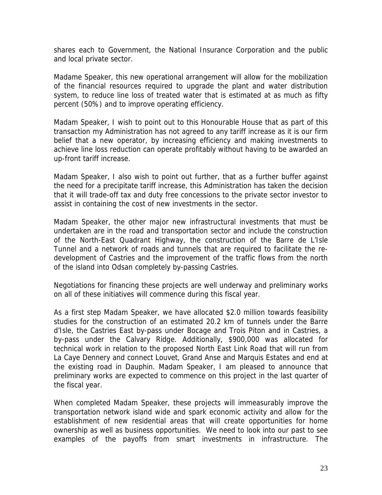shares each to Government, the National Insurance Corporation and the public and local private sector.

Madame Speaker, this new operational arrangement will allow for the mobilization of the financial resources required to upgrade the plant and water distribution system, to reduce line loss of treated water that is estimated at as much as fifty percent (50%) and to improve operating efficiency.

Madam Speaker, I wish to point out to this Honourable House that as part of this transaction my Administration has not agreed to any tariff increase as it is our firm belief that a new operator, by increasing efficiency and making investments to achieve line loss reduction can operate profitably without having to be awarded an up-front tariff increase.

Madam Speaker, I also wish to point out further, that as a further buffer against the need for a precipitate tariff increase, this Administration has taken the decision that it will trade-off tax and duty free concessions to the private sector investor to assist in containing the cost of new investments in the sector.

Madam Speaker, the other major new infrastructural investments that must be undertaken are in the road and transportation sector and include the construction of the North-East Quadrant Highway, the construction of the Barre de L'Isle Tunnel and a network of roads and tunnels that are required to facilitate the redevelopment of Castries and the improvement of the traffic flows from the north of the island into Odsan completely by-passing Castries.

Negotiations for financing these projects are well underway and preliminary works on all of these initiatives will commence during this fiscal year.

As a first step Madam Speaker, we have allocated \$2.0 million towards feasibility studies for the construction of an estimated 20.2 km of tunnels under the Barre d'Isle, the Castries East by-pass under Bocage and Trois Piton and in Castries, a by-pass under the Calvary Ridge. Additionally, \$900,000 was allocated for technical work in relation to the proposed North East Link Road that will run from La Caye Dennery and connect Louvet, Grand Anse and Marquis Estates and end at the existing road in Dauphin. Madam Speaker, I am pleased to announce that preliminary works are expected to commence on this project in the last quarter of the fiscal year.

When completed Madam Speaker, these projects will immeasurably improve the transportation network island wide and spark economic activity and allow for the establishment of new residential areas that will create opportunities for home ownership as well as business opportunities. We need to look into our past to see examples of the payoffs from smart investments in infrastructure. The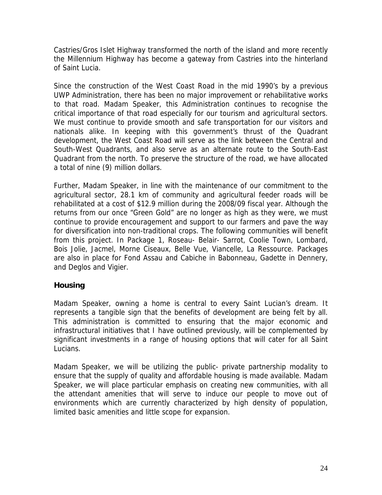Castries/Gros Islet Highway transformed the north of the island and more recently the Millennium Highway has become a gateway from Castries into the hinterland of Saint Lucia.

Since the construction of the West Coast Road in the mid 1990's by a previous UWP Administration, there has been no major improvement or rehabilitative works to that road. Madam Speaker, this Administration continues to recognise the critical importance of that road especially for our tourism and agricultural sectors. We must continue to provide smooth and safe transportation for our visitors and nationals alike. In keeping with this government's thrust of the Quadrant development, the West Coast Road will serve as the link between the Central and South-West Quadrants, and also serve as an alternate route to the South-East Quadrant from the north. To preserve the structure of the road, we have allocated a total of nine (9) million dollars.

Further, Madam Speaker, in line with the maintenance of our commitment to the agricultural sector, 28.1 km of community and agricultural feeder roads will be rehabilitated at a cost of \$12.9 million during the 2008/09 fiscal year. Although the returns from our once "Green Gold" are no longer as high as they were, we must continue to provide encouragement and support to our farmers and pave the way for diversification into non-traditional crops. The following communities will benefit from this project. In Package 1, Roseau- Belair- Sarrot, Coolie Town, Lombard, Bois Jolie, Jacmel, Morne Ciseaux, Belle Vue, Viancelle, La Ressource. Packages are also in place for Fond Assau and Cabiche in Babonneau, Gadette in Dennery, and Deglos and Vigier.

# **Housing**

Madam Speaker, owning a home is central to every Saint Lucian's dream. It represents a tangible sign that the benefits of development are being felt by all. This administration is committed to ensuring that the major economic and infrastructural initiatives that I have outlined previously, will be complemented by significant investments in a range of housing options that will cater for all Saint Lucians.

Madam Speaker, we will be utilizing the public- private partnership modality to ensure that the supply of quality and affordable housing is made available. Madam Speaker, we will place particular emphasis on creating new communities, with all the attendant amenities that will serve to induce our people to move out of environments which are currently characterized by high density of population, limited basic amenities and little scope for expansion.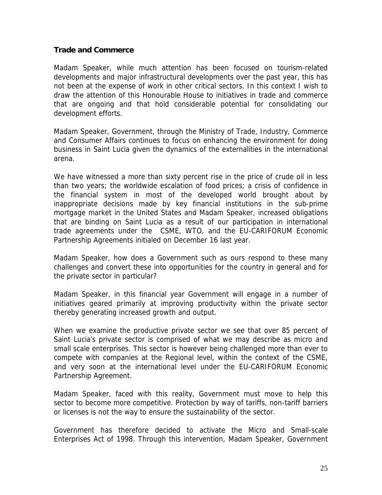#### **Trade and Commerce**

Madam Speaker, while much attention has been focused on tourism-related developments and major infrastructural developments over the past year, this has not been at the expense of work in other critical sectors. In this context I wish to draw the attention of this Honourable House to initiatives in trade and commerce that are ongoing and that hold considerable potential for consolidating our development efforts.

Madam Speaker, Government, through the Ministry of Trade, Industry, Commerce and Consumer Affairs continues to focus on enhancing the environment for doing business in Saint Lucia given the dynamics of the externalities in the international arena.

We have witnessed a more than sixty percent rise in the price of crude oil in less than two years; the worldwide escalation of food prices; a crisis of confidence in the financial system in most of the developed world brought about by inappropriate decisions made by key financial institutions in the sub-prime mortgage market in the United States and Madam Speaker, increased obligations that are binding on Saint Lucia as a result of our participation in international trade agreements under the CSME, WTO, and the EU-CARIFORUM Economic Partnership Agreements initialed on December 16 last year.

Madam Speaker, how does a Government such as ours respond to these many challenges and convert these into opportunities for the country in general and for the private sector in particular?

Madam Speaker, in this financial year Government will engage in a number of initiatives geared primarily at improving productivity within the private sector thereby generating increased growth and output.

When we examine the productive private sector we see that over 85 percent of Saint Lucia's private sector is comprised of what we may describe as micro and small scale enterprises. This sector is however being challenged more than ever to compete with companies at the Regional level, within the context of the CSME, and very soon at the international level under the EU-CARIFORUM Economic Partnership Agreement.

Madam Speaker, faced with this reality, Government must move to help this sector to become more competitive. Protection by way of tariffs, non-tariff barriers or licenses is not the way to ensure the sustainability of the sector.

Government has therefore decided to activate the Micro and Small-scale Enterprises Act of 1998. Through this intervention, Madam Speaker, Government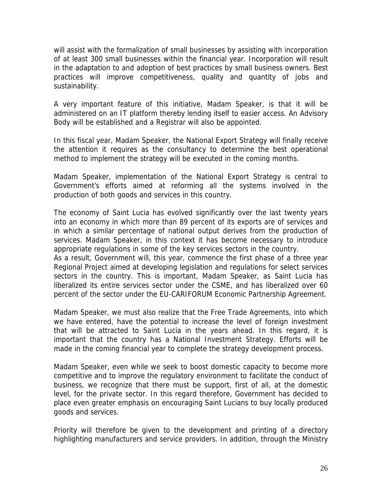will assist with the formalization of small businesses by assisting with incorporation of at least 300 small businesses within the financial year. Incorporation will result in the adaptation to and adoption of best practices by small business owners. Best practices will improve competitiveness, quality and quantity of jobs and sustainability.

A very important feature of this initiative, Madam Speaker, is that it will be administered on an IT platform thereby lending itself to easier access. An Advisory Body will be established and a Registrar will also be appointed.

In this fiscal year, Madam Speaker, the National Export Strategy will finally receive the attention it requires as the consultancy to determine the best operational method to implement the strategy will be executed in the coming months.

Madam Speaker, implementation of the National Export Strategy is central to Government's efforts aimed at reforming all the systems involved in the production of both goods and services in this country.

The economy of Saint Lucia has evolved significantly over the last twenty years into an economy in which more than 89 percent of its exports are of services and in which a similar percentage of national output derives from the production of services. Madam Speaker, in this context it has become necessary to introduce appropriate regulations in some of the key services sectors in the country.

As a result, Government will, this year, commence the first phase of a three year Regional Project aimed at developing legislation and regulations for select services sectors in the country. This is important, Madam Speaker, as Saint Lucia has liberalized its entire services sector under the CSME, and has liberalized over 60 percent of the sector under the EU-CARIFORUM Economic Partnership Agreement.

Madam Speaker, we must also realize that the Free Trade Agreements, into which we have entered, have the potential to increase the level of foreign investment that will be attracted to Saint Lucia in the years ahead. In this regard, it is important that the country has a National Investment Strategy. Efforts will be made in the coming financial year to complete the strategy development process.

Madam Speaker, even while we seek to boost domestic capacity to become more competitive and to improve the regulatory environment to facilitate the conduct of business, we recognize that there must be support, first of all, at the domestic level, for the private sector. In this regard therefore, Government has decided to place even greater emphasis on encouraging Saint Lucians to buy locally produced goods and services.

Priority will therefore be given to the development and printing of a directory highlighting manufacturers and service providers. In addition, through the Ministry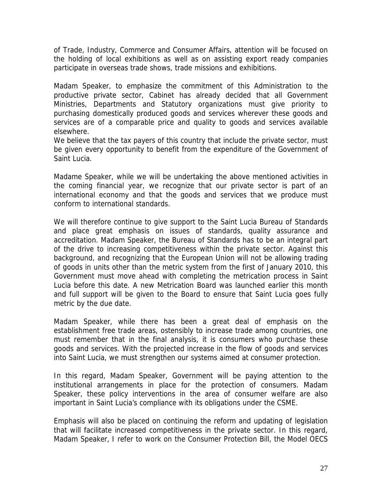of Trade, Industry, Commerce and Consumer Affairs, attention will be focused on the holding of local exhibitions as well as on assisting export ready companies participate in overseas trade shows, trade missions and exhibitions.

Madam Speaker, to emphasize the commitment of this Administration to the productive private sector, Cabinet has already decided that all Government Ministries, Departments and Statutory organizations must give priority to purchasing domestically produced goods and services wherever these goods and services are of a comparable price and quality to goods and services available elsewhere.

We believe that the tax payers of this country that include the private sector, must be given every opportunity to benefit from the expenditure of the Government of Saint Lucia.

Madame Speaker, while we will be undertaking the above mentioned activities in the coming financial year, we recognize that our private sector is part of an international economy and that the goods and services that we produce must conform to international standards.

We will therefore continue to give support to the Saint Lucia Bureau of Standards and place great emphasis on issues of standards, quality assurance and accreditation. Madam Speaker, the Bureau of Standards has to be an integral part of the drive to increasing competitiveness within the private sector. Against this background, and recognizing that the European Union will not be allowing trading of goods in units other than the metric system from the first of January 2010, this Government must move ahead with completing the metrication process in Saint Lucia before this date. A new Metrication Board was launched earlier this month and full support will be given to the Board to ensure that Saint Lucia goes fully metric by the due date.

Madam Speaker, while there has been a great deal of emphasis on the establishment free trade areas, ostensibly to increase trade among countries, one must remember that in the final analysis, it is consumers who purchase these goods and services. With the projected increase in the flow of goods and services into Saint Lucia, we must strengthen our systems aimed at consumer protection.

In this regard, Madam Speaker, Government will be paying attention to the institutional arrangements in place for the protection of consumers. Madam Speaker, these policy interventions in the area of consumer welfare are also important in Saint Lucia's compliance with its obligations under the CSME.

Emphasis will also be placed on continuing the reform and updating of legislation that will facilitate increased competitiveness in the private sector. In this regard, Madam Speaker, I refer to work on the Consumer Protection Bill, the Model OECS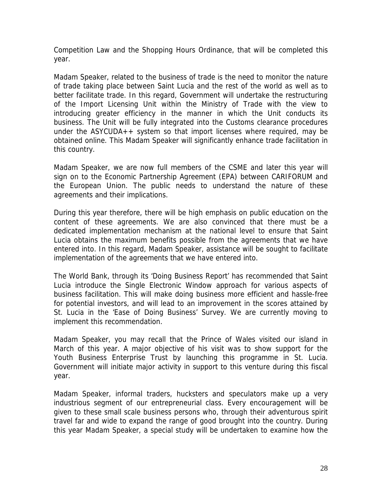Competition Law and the Shopping Hours Ordinance, that will be completed this year.

Madam Speaker, related to the business of trade is the need to monitor the nature of trade taking place between Saint Lucia and the rest of the world as well as to better facilitate trade. In this regard, Government will undertake the restructuring of the Import Licensing Unit within the Ministry of Trade with the view to introducing greater efficiency in the manner in which the Unit conducts its business. The Unit will be fully integrated into the Customs clearance procedures under the ASYCUDA++ system so that import licenses where required, may be obtained online. This Madam Speaker will significantly enhance trade facilitation in this country.

Madam Speaker, we are now full members of the CSME and later this year will sign on to the Economic Partnership Agreement (EPA) between CARIFORUM and the European Union. The public needs to understand the nature of these agreements and their implications.

During this year therefore, there will be high emphasis on public education on the content of these agreements. We are also convinced that there must be a dedicated implementation mechanism at the national level to ensure that Saint Lucia obtains the maximum benefits possible from the agreements that we have entered into. In this regard, Madam Speaker, assistance will be sought to facilitate implementation of the agreements that we have entered into.

The World Bank, through its 'Doing Business Report' has recommended that Saint Lucia introduce the Single Electronic Window approach for various aspects of business facilitation. This will make doing business more efficient and hassle-free for potential investors, and will lead to an improvement in the scores attained by St. Lucia in the 'Ease of Doing Business' Survey. We are currently moving to implement this recommendation.

Madam Speaker, you may recall that the Prince of Wales visited our island in March of this year. A major objective of his visit was to show support for the Youth Business Enterprise Trust by launching this programme in St. Lucia. Government will initiate major activity in support to this venture during this fiscal year.

Madam Speaker, informal traders, hucksters and speculators make up a very industrious segment of our entrepreneurial class. Every encouragement will be given to these small scale business persons who, through their adventurous spirit travel far and wide to expand the range of good brought into the country. During this year Madam Speaker, a special study will be undertaken to examine how the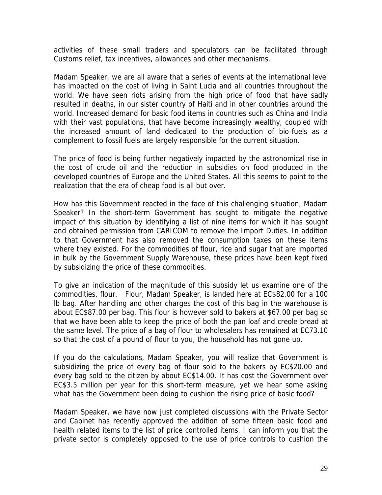activities of these small traders and speculators can be facilitated through Customs relief, tax incentives, allowances and other mechanisms.

Madam Speaker, we are all aware that a series of events at the international level has impacted on the cost of living in Saint Lucia and all countries throughout the world. We have seen riots arising from the high price of food that have sadly resulted in deaths, in our sister country of Haiti and in other countries around the world. Increased demand for basic food items in countries such as China and India with their vast populations, that have become increasingly wealthy, coupled with the increased amount of land dedicated to the production of bio-fuels as a complement to fossil fuels are largely responsible for the current situation.

The price of food is being further negatively impacted by the astronomical rise in the cost of crude oil and the reduction in subsidies on food produced in the developed countries of Europe and the United States. All this seems to point to the realization that the era of cheap food is all but over.

How has this Government reacted in the face of this challenging situation, Madam Speaker? In the short-term Government has sought to mitigate the negative impact of this situation by identifying a list of nine items for which it has sought and obtained permission from CARICOM to remove the Import Duties. In addition to that Government has also removed the consumption taxes on these items where they existed. For the commodities of flour, rice and sugar that are imported in bulk by the Government Supply Warehouse, these prices have been kept fixed by subsidizing the price of these commodities.

To give an indication of the magnitude of this subsidy let us examine one of the commodities, flour. Flour, Madam Speaker, is landed here at EC\$82.00 for a 100 lb bag. After handling and other charges the cost of this bag in the warehouse is about EC\$87.00 per bag. This flour is however sold to bakers at \$67.00 per bag so that we have been able to keep the price of both the pan loaf and creole bread at the same level. The price of a bag of flour to wholesalers has remained at EC73.10 so that the cost of a pound of flour to you, the household has not gone up.

If you do the calculations, Madam Speaker, you will realize that Government is subsidizing the price of every bag of flour sold to the bakers by EC\$20.00 and every bag sold to the citizen by about EC\$14.00. It has cost the Government over EC\$3.5 million per year for this short-term measure, yet we hear some asking what has the Government been doing to cushion the rising price of basic food?

Madam Speaker, we have now just completed discussions with the Private Sector and Cabinet has recently approved the addition of some fifteen basic food and health related items to the list of price controlled items. I can inform you that the private sector is completely opposed to the use of price controls to cushion the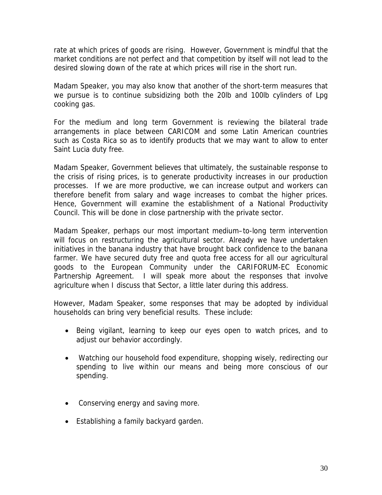rate at which prices of goods are rising. However, Government is mindful that the market conditions are not perfect and that competition by itself will not lead to the desired slowing down of the rate at which prices will rise in the short run.

Madam Speaker, you may also know that another of the short-term measures that we pursue is to continue subsidizing both the 20lb and 100lb cylinders of Lpg cooking gas.

For the medium and long term Government is reviewing the bilateral trade arrangements in place between CARICOM and some Latin American countries such as Costa Rica so as to identify products that we may want to allow to enter Saint Lucia duty free.

Madam Speaker, Government believes that ultimately, the sustainable response to the crisis of rising prices, is to generate productivity increases in our production processes. If we are more productive, we can increase output and workers can therefore benefit from salary and wage increases to combat the higher prices. Hence, Government will examine the establishment of a National Productivity Council. This will be done in close partnership with the private sector.

Madam Speaker, perhaps our most important medium–to-long term intervention will focus on restructuring the agricultural sector. Already we have undertaken initiatives in the banana industry that have brought back confidence to the banana farmer. We have secured duty free and quota free access for all our agricultural goods to the European Community under the CARIFORUM-EC Economic Partnership Agreement. I will speak more about the responses that involve agriculture when I discuss that Sector, a little later during this address.

However, Madam Speaker, some responses that may be adopted by individual households can bring very beneficial results. These include:

- Being vigilant, learning to keep our eyes open to watch prices, and to adjust our behavior accordingly.
- Watching our household food expenditure, shopping wisely, redirecting our spending to live within our means and being more conscious of our spending.
- Conserving energy and saving more.
- Establishing a family backyard garden.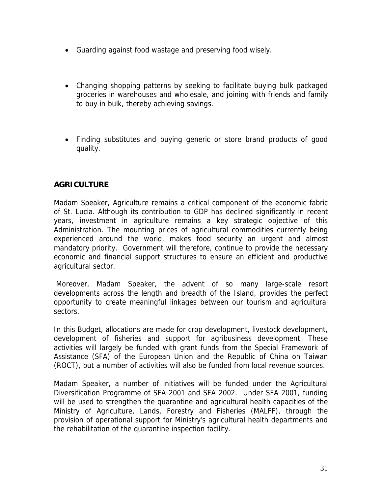- Guarding against food wastage and preserving food wisely.
- Changing shopping patterns by seeking to facilitate buying bulk packaged groceries in warehouses and wholesale, and joining with friends and family to buy in bulk, thereby achieving savings.
- Finding substitutes and buying generic or store brand products of good quality.

# **AGRICULTURE**

Madam Speaker, Agriculture remains a critical component of the economic fabric of St. Lucia. Although its contribution to GDP has declined significantly in recent years, investment in agriculture remains a key strategic objective of this Administration. The mounting prices of agricultural commodities currently being experienced around the world, makes food security an urgent and almost mandatory priority. Government will therefore, continue to provide the necessary economic and financial support structures to ensure an efficient and productive agricultural sector.

 Moreover, Madam Speaker, the advent of so many large-scale resort developments across the length and breadth of the Island, provides the perfect opportunity to create meaningful linkages between our tourism and agricultural sectors.

In this Budget, allocations are made for crop development, livestock development, development of fisheries and support for agribusiness development. These activities will largely be funded with grant funds from the Special Framework of Assistance (SFA) of the European Union and the Republic of China on Taiwan (ROCT), but a number of activities will also be funded from local revenue sources.

Madam Speaker, a number of initiatives will be funded under the Agricultural Diversification Programme of SFA 2001 and SFA 2002. Under SFA 2001, funding will be used to strengthen the quarantine and agricultural health capacities of the Ministry of Agriculture, Lands, Forestry and Fisheries (MALFF), through the provision of operational support for Ministry's agricultural health departments and the rehabilitation of the quarantine inspection facility.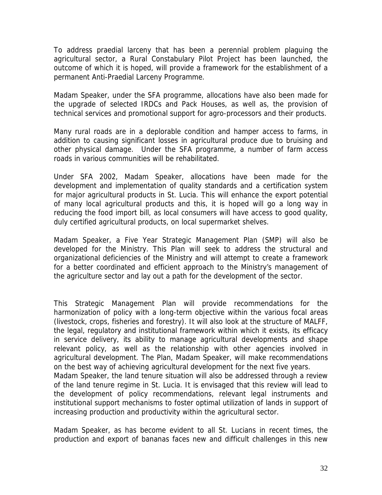To address praedial larceny that has been a perennial problem plaguing the agricultural sector, a Rural Constabulary Pilot Project has been launched, the outcome of which it is hoped, will provide a framework for the establishment of a permanent Anti-Praedial Larceny Programme.

Madam Speaker, under the SFA programme, allocations have also been made for the upgrade of selected IRDCs and Pack Houses, as well as, the provision of technical services and promotional support for agro-processors and their products.

Many rural roads are in a deplorable condition and hamper access to farms, in addition to causing significant losses in agricultural produce due to bruising and other physical damage. Under the SFA programme, a number of farm access roads in various communities will be rehabilitated.

Under SFA 2002, Madam Speaker, allocations have been made for the development and implementation of quality standards and a certification system for major agricultural products in St. Lucia. This will enhance the export potential of many local agricultural products and this, it is hoped will go a long way in reducing the food import bill, as local consumers will have access to good quality, duly certified agricultural products, on local supermarket shelves.

Madam Speaker, a Five Year Strategic Management Plan (SMP) will also be developed for the Ministry. This Plan will seek to address the structural and organizational deficiencies of the Ministry and will attempt to create a framework for a better coordinated and efficient approach to the Ministry's management of the agriculture sector and lay out a path for the development of the sector.

This Strategic Management Plan will provide recommendations for the harmonization of policy with a long-term objective within the various focal areas (livestock, crops, fisheries and forestry). It will also look at the structure of MALFF, the legal, regulatory and institutional framework within which it exists, its efficacy in service delivery, its ability to manage agricultural developments and shape relevant policy, as well as the relationship with other agencies involved in agricultural development. The Plan, Madam Speaker, will make recommendations on the best way of achieving agricultural development for the next five years. Madam Speaker, the land tenure situation will also be addressed through a review of the land tenure regime in St. Lucia. It is envisaged that this review will lead to the development of policy recommendations, relevant legal instruments and institutional support mechanisms to foster optimal utilization of lands in support of

Madam Speaker, as has become evident to all St. Lucians in recent times, the production and export of bananas faces new and difficult challenges in this new

increasing production and productivity within the agricultural sector.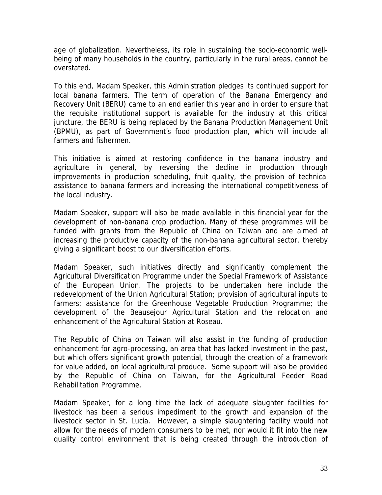age of globalization. Nevertheless, its role in sustaining the socio-economic wellbeing of many households in the country, particularly in the rural areas, cannot be overstated.

To this end, Madam Speaker, this Administration pledges its continued support for local banana farmers. The term of operation of the Banana Emergency and Recovery Unit (BERU) came to an end earlier this year and in order to ensure that the requisite institutional support is available for the industry at this critical juncture, the BERU is being replaced by the Banana Production Management Unit (BPMU), as part of Government's food production plan, which will include all farmers and fishermen.

This initiative is aimed at restoring confidence in the banana industry and agriculture in general, by reversing the decline in production through improvements in production scheduling, fruit quality, the provision of technical assistance to banana farmers and increasing the international competitiveness of the local industry.

Madam Speaker, support will also be made available in this financial year for the development of non-banana crop production. Many of these programmes will be funded with grants from the Republic of China on Taiwan and are aimed at increasing the productive capacity of the non-banana agricultural sector, thereby giving a significant boost to our diversification efforts.

Madam Speaker, such initiatives directly and significantly complement the Agricultural Diversification Programme under the Special Framework of Assistance of the European Union. The projects to be undertaken here include the redevelopment of the Union Agricultural Station; provision of agricultural inputs to farmers; assistance for the Greenhouse Vegetable Production Programme; the development of the Beausejour Agricultural Station and the relocation and enhancement of the Agricultural Station at Roseau.

The Republic of China on Taiwan will also assist in the funding of production enhancement for agro-processing, an area that has lacked investment in the past, but which offers significant growth potential, through the creation of a framework for value added, on local agricultural produce. Some support will also be provided by the Republic of China on Taiwan, for the Agricultural Feeder Road Rehabilitation Programme.

Madam Speaker, for a long time the lack of adequate slaughter facilities for livestock has been a serious impediment to the growth and expansion of the livestock sector in St. Lucia. However, a simple slaughtering facility would not allow for the needs of modern consumers to be met, nor would it fit into the new quality control environment that is being created through the introduction of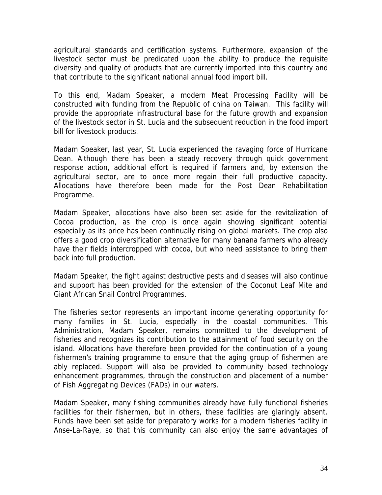agricultural standards and certification systems. Furthermore, expansion of the livestock sector must be predicated upon the ability to produce the requisite diversity and quality of products that are currently imported into this country and that contribute to the significant national annual food import bill.

To this end, Madam Speaker, a modern Meat Processing Facility will be constructed with funding from the Republic of china on Taiwan. This facility will provide the appropriate infrastructural base for the future growth and expansion of the livestock sector in St. Lucia and the subsequent reduction in the food import bill for livestock products.

Madam Speaker, last year, St. Lucia experienced the ravaging force of Hurricane Dean. Although there has been a steady recovery through quick government response action, additional effort is required if farmers and, by extension the agricultural sector, are to once more regain their full productive capacity. Allocations have therefore been made for the Post Dean Rehabilitation Programme.

Madam Speaker, allocations have also been set aside for the revitalization of Cocoa production, as the crop is once again showing significant potential especially as its price has been continually rising on global markets. The crop also offers a good crop diversification alternative for many banana farmers who already have their fields intercropped with cocoa, but who need assistance to bring them back into full production.

Madam Speaker, the fight against destructive pests and diseases will also continue and support has been provided for the extension of the Coconut Leaf Mite and Giant African Snail Control Programmes.

The fisheries sector represents an important income generating opportunity for many families in St. Lucia, especially in the coastal communities. This Administration, Madam Speaker, remains committed to the development of fisheries and recognizes its contribution to the attainment of food security on the island. Allocations have therefore been provided for the continuation of a young fishermen's training programme to ensure that the aging group of fishermen are ably replaced. Support will also be provided to community based technology enhancement programmes, through the construction and placement of a number of Fish Aggregating Devices (FADs) in our waters.

Madam Speaker, many fishing communities already have fully functional fisheries facilities for their fishermen, but in others, these facilities are glaringly absent. Funds have been set aside for preparatory works for a modern fisheries facility in Anse-La-Raye, so that this community can also enjoy the same advantages of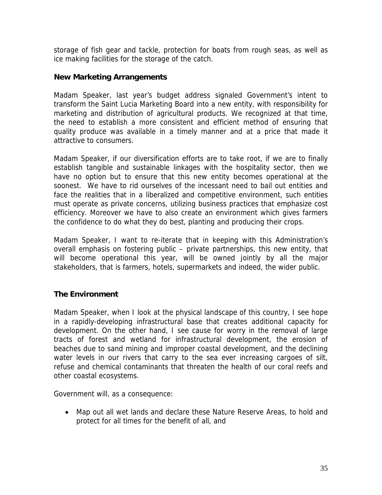storage of fish gear and tackle, protection for boats from rough seas, as well as ice making facilities for the storage of the catch.

# **New Marketing Arrangements**

Madam Speaker, last year's budget address signaled Government's intent to transform the Saint Lucia Marketing Board into a new entity, with responsibility for marketing and distribution of agricultural products. We recognized at that time, the need to establish a more consistent and efficient method of ensuring that quality produce was available in a timely manner and at a price that made it attractive to consumers.

Madam Speaker, if our diversification efforts are to take root, if we are to finally establish tangible and sustainable linkages with the hospitality sector, then we have no option but to ensure that this new entity becomes operational at the soonest. We have to rid ourselves of the incessant need to bail out entities and face the realities that in a liberalized and competitive environment, such entities must operate as private concerns, utilizing business practices that emphasize cost efficiency. Moreover we have to also create an environment which gives farmers the confidence to do what they do best, planting and producing their crops.

Madam Speaker, I want to re-iterate that in keeping with this Administration's overall emphasis on fostering public – private partnerships, this new entity, that will become operational this year, will be owned jointly by all the major stakeholders, that is farmers, hotels, supermarkets and indeed, the wider public.

# **The Environment**

Madam Speaker, when I look at the physical landscape of this country, I see hope in a rapidly-developing infrastructural base that creates additional capacity for development. On the other hand, I see cause for worry in the removal of large tracts of forest and wetland for infrastructural development, the erosion of beaches due to sand mining and improper coastal development, and the declining water levels in our rivers that carry to the sea ever increasing cargoes of silt, refuse and chemical contaminants that threaten the health of our coral reefs and other coastal ecosystems.

Government will, as a consequence:

• Map out all wet lands and declare these Nature Reserve Areas, to hold and protect for all times for the benefit of all, and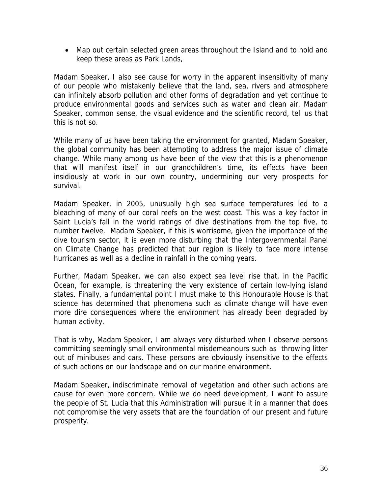• Map out certain selected green areas throughout the Island and to hold and keep these areas as Park Lands,

Madam Speaker, I also see cause for worry in the apparent insensitivity of many of our people who mistakenly believe that the land, sea, rivers and atmosphere can infinitely absorb pollution and other forms of degradation and yet continue to produce environmental goods and services such as water and clean air. Madam Speaker, common sense, the visual evidence and the scientific record, tell us that this is not so.

While many of us have been taking the environment for granted, Madam Speaker, the global community has been attempting to address the major issue of climate change. While many among us have been of the view that this is a phenomenon that will manifest itself in our grandchildren's time, its effects have been insidiously at work in our own country, undermining our very prospects for survival.

Madam Speaker, in 2005, unusually high sea surface temperatures led to a bleaching of many of our coral reefs on the west coast. This was a key factor in Saint Lucia's fall in the world ratings of dive destinations from the top five, to number twelve. Madam Speaker, if this is worrisome, given the importance of the dive tourism sector, it is even more disturbing that the Intergovernmental Panel on Climate Change has predicted that our region is likely to face more intense hurricanes as well as a decline in rainfall in the coming years.

Further, Madam Speaker, we can also expect sea level rise that, in the Pacific Ocean, for example, is threatening the very existence of certain low-lying island states. Finally, a fundamental point I must make to this Honourable House is that science has determined that phenomena such as climate change will have even more dire consequences where the environment has already been degraded by human activity.

That is why, Madam Speaker, I am always very disturbed when I observe persons committing seemingly small environmental misdemeanours such as throwing litter out of minibuses and cars. These persons are obviously insensitive to the effects of such actions on our landscape and on our marine environment.

Madam Speaker, indiscriminate removal of vegetation and other such actions are cause for even more concern. While we do need development, I want to assure the people of St. Lucia that this Administration will pursue it in a manner that does not compromise the very assets that are the foundation of our present and future prosperity.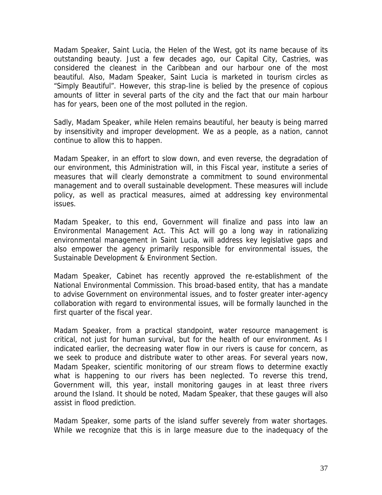Madam Speaker, Saint Lucia, the Helen of the West, got its name because of its outstanding beauty. Just a few decades ago, our Capital City, Castries, was considered the cleanest in the Caribbean and our harbour one of the most beautiful. Also, Madam Speaker, Saint Lucia is marketed in tourism circles as "Simply Beautiful". However, this strap-line is belied by the presence of copious amounts of litter in several parts of the city and the fact that our main harbour has for years, been one of the most polluted in the region.

Sadly, Madam Speaker, while Helen remains beautiful, her beauty is being marred by insensitivity and improper development. We as a people, as a nation, cannot continue to allow this to happen.

Madam Speaker, in an effort to slow down, and even reverse, the degradation of our environment, this Administration will, in this Fiscal year, institute a series of measures that will clearly demonstrate a commitment to sound environmental management and to overall sustainable development. These measures will include policy, as well as practical measures, aimed at addressing key environmental issues.

Madam Speaker, to this end, Government will finalize and pass into law an Environmental Management Act. This Act will go a long way in rationalizing environmental management in Saint Lucia, will address key legislative gaps and also empower the agency primarily responsible for environmental issues, the Sustainable Development & Environment Section.

Madam Speaker, Cabinet has recently approved the re-establishment of the National Environmental Commission. This broad-based entity, that has a mandate to advise Government on environmental issues, and to foster greater inter-agency collaboration with regard to environmental issues, will be formally launched in the first quarter of the fiscal year.

Madam Speaker, from a practical standpoint, water resource management is critical, not just for human survival, but for the health of our environment. As I indicated earlier, the decreasing water flow in our rivers is cause for concern, as we seek to produce and distribute water to other areas. For several years now, Madam Speaker, scientific monitoring of our stream flows to determine exactly what is happening to our rivers has been neglected. To reverse this trend, Government will, this year, install monitoring gauges in at least three rivers around the Island. It should be noted, Madam Speaker, that these gauges will also assist in flood prediction.

Madam Speaker, some parts of the island suffer severely from water shortages. While we recognize that this is in large measure due to the inadequacy of the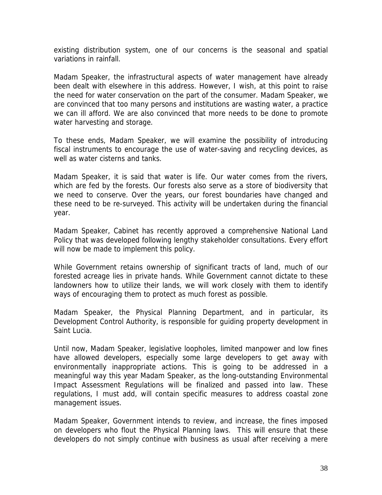existing distribution system, one of our concerns is the seasonal and spatial variations in rainfall.

Madam Speaker, the infrastructural aspects of water management have already been dealt with elsewhere in this address. However, I wish, at this point to raise the need for water conservation on the part of the consumer. Madam Speaker, we are convinced that too many persons and institutions are wasting water, a practice we can ill afford. We are also convinced that more needs to be done to promote water harvesting and storage.

To these ends, Madam Speaker, we will examine the possibility of introducing fiscal instruments to encourage the use of water-saving and recycling devices, as well as water cisterns and tanks.

Madam Speaker, it is said that water is life. Our water comes from the rivers, which are fed by the forests. Our forests also serve as a store of biodiversity that we need to conserve. Over the years, our forest boundaries have changed and these need to be re-surveyed. This activity will be undertaken during the financial year.

Madam Speaker, Cabinet has recently approved a comprehensive National Land Policy that was developed following lengthy stakeholder consultations. Every effort will now be made to implement this policy.

While Government retains ownership of significant tracts of land, much of our forested acreage lies in private hands. While Government cannot dictate to these landowners how to utilize their lands, we will work closely with them to identify ways of encouraging them to protect as much forest as possible.

Madam Speaker, the Physical Planning Department, and in particular, its Development Control Authority, is responsible for guiding property development in Saint Lucia.

Until now, Madam Speaker, legislative loopholes, limited manpower and low fines have allowed developers, especially some large developers to get away with environmentally inappropriate actions. This is going to be addressed in a meaningful way this year Madam Speaker, as the long-outstanding Environmental Impact Assessment Regulations will be finalized and passed into law. These regulations, I must add, will contain specific measures to address coastal zone management issues.

Madam Speaker, Government intends to review, and increase, the fines imposed on developers who flout the Physical Planning laws. This will ensure that these developers do not simply continue with business as usual after receiving a mere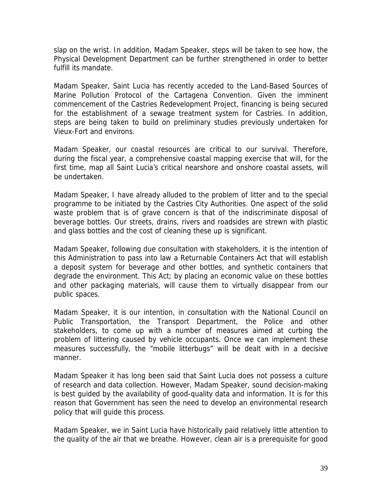slap on the wrist. In addition, Madam Speaker, steps will be taken to see how, the Physical Development Department can be further strengthened in order to better fulfill its mandate.

Madam Speaker, Saint Lucia has recently acceded to the Land-Based Sources of Marine Pollution Protocol of the Cartagena Convention. Given the imminent commencement of the Castries Redevelopment Project, financing is being secured for the establishment of a sewage treatment system for Castries. In addition, steps are being taken to build on preliminary studies previously undertaken for Vieux-Fort and environs.

Madam Speaker, our coastal resources are critical to our survival. Therefore, during the fiscal year, a comprehensive coastal mapping exercise that will, for the first time, map all Saint Lucia's critical nearshore and onshore coastal assets, will be undertaken.

Madam Speaker, I have already alluded to the problem of litter and to the special programme to be initiated by the Castries City Authorities. One aspect of the solid waste problem that is of grave concern is that of the indiscriminate disposal of beverage bottles. Our streets, drains, rivers and roadsides are strewn with plastic and glass bottles and the cost of cleaning these up is significant.

Madam Speaker, following due consultation with stakeholders, it is the intention of this Administration to pass into law a Returnable Containers Act that will establish a deposit system for beverage and other bottles, and synthetic containers that degrade the environment. This Act; by placing an economic value on these bottles and other packaging materials, will cause them to virtually disappear from our public spaces.

Madam Speaker, it is our intention, in consultation with the National Council on Public Transportation, the Transport Department, the Police and other stakeholders, to come up with a number of measures aimed at curbing the problem of littering caused by vehicle occupants. Once we can implement these measures successfully, the "mobile litterbugs" will be dealt with in a decisive manner.

Madam Speaker it has long been said that Saint Lucia does not possess a culture of research and data collection. However, Madam Speaker, sound decision-making is best guided by the availability of good-quality data and information. It is for this reason that Government has seen the need to develop an environmental research policy that will guide this process.

Madam Speaker, we in Saint Lucia have historically paid relatively little attention to the quality of the air that we breathe. However, clean air is a prerequisite for good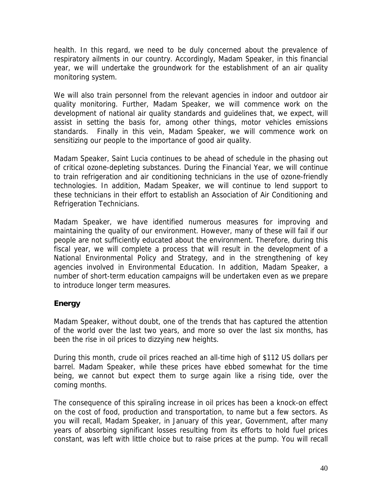health. In this regard, we need to be duly concerned about the prevalence of respiratory ailments in our country. Accordingly, Madam Speaker, in this financial year, we will undertake the groundwork for the establishment of an air quality monitoring system.

We will also train personnel from the relevant agencies in indoor and outdoor air quality monitoring. Further, Madam Speaker, we will commence work on the development of national air quality standards and guidelines that, we expect, will assist in setting the basis for, among other things, motor vehicles emissions standards. Finally in this vein, Madam Speaker, we will commence work on sensitizing our people to the importance of good air quality.

Madam Speaker, Saint Lucia continues to be ahead of schedule in the phasing out of critical ozone-depleting substances. During the Financial Year, we will continue to train refrigeration and air conditioning technicians in the use of ozone-friendly technologies. In addition, Madam Speaker, we will continue to lend support to these technicians in their effort to establish an Association of Air Conditioning and Refrigeration Technicians.

Madam Speaker, we have identified numerous measures for improving and maintaining the quality of our environment. However, many of these will fail if our people are not sufficiently educated about the environment. Therefore, during this fiscal year, we will complete a process that will result in the development of a National Environmental Policy and Strategy, and in the strengthening of key agencies involved in Environmental Education. In addition, Madam Speaker, a number of short-term education campaigns will be undertaken even as we prepare to introduce longer term measures.

# **Energy**

Madam Speaker, without doubt, one of the trends that has captured the attention of the world over the last two years, and more so over the last six months, has been the rise in oil prices to dizzying new heights.

During this month, crude oil prices reached an all-time high of \$112 US dollars per barrel. Madam Speaker, while these prices have ebbed somewhat for the time being, we cannot but expect them to surge again like a rising tide, over the coming months.

The consequence of this spiraling increase in oil prices has been a knock-on effect on the cost of food, production and transportation, to name but a few sectors. As you will recall, Madam Speaker, in January of this year, Government, after many years of absorbing significant losses resulting from its efforts to hold fuel prices constant, was left with little choice but to raise prices at the pump. You will recall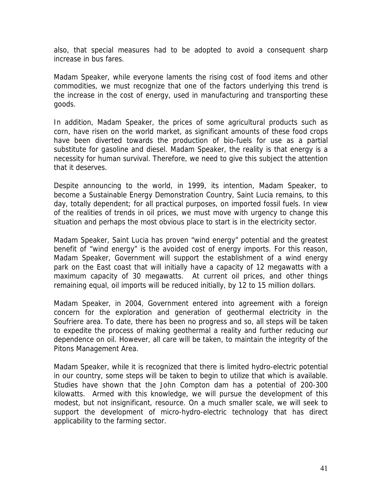also, that special measures had to be adopted to avoid a consequent sharp increase in bus fares.

Madam Speaker, while everyone laments the rising cost of food items and other commodities, we must recognize that one of the factors underlying this trend is the increase in the cost of energy, used in manufacturing and transporting these goods.

In addition, Madam Speaker, the prices of some agricultural products such as corn, have risen on the world market, as significant amounts of these food crops have been diverted towards the production of bio-fuels for use as a partial substitute for gasoline and diesel. Madam Speaker, the reality is that energy is a necessity for human survival. Therefore, we need to give this subject the attention that it deserves.

Despite announcing to the world, in 1999, its intention, Madam Speaker, to become a Sustainable Energy Demonstration Country, Saint Lucia remains, to this day, totally dependent; for all practical purposes, on imported fossil fuels. In view of the realities of trends in oil prices, we must move with urgency to change this situation and perhaps the most obvious place to start is in the electricity sector.

Madam Speaker, Saint Lucia has proven "wind energy" potential and the greatest benefit of "wind energy" is the avoided cost of energy imports. For this reason, Madam Speaker, Government will support the establishment of a wind energy park on the East coast that will initially have a capacity of 12 megawatts with a maximum capacity of 30 megawatts. At current oil prices, and other things remaining equal, oil imports will be reduced initially, by 12 to 15 million dollars.

Madam Speaker, in 2004, Government entered into agreement with a foreign concern for the exploration and generation of geothermal electricity in the Soufriere area. To date, there has been no progress and so, all steps will be taken to expedite the process of making geothermal a reality and further reducing our dependence on oil. However, all care will be taken, to maintain the integrity of the Pitons Management Area.

Madam Speaker, while it is recognized that there is limited hydro-electric potential in our country, some steps will be taken to begin to utilize that which is available. Studies have shown that the John Compton dam has a potential of 200-300 kilowatts. Armed with this knowledge, we will pursue the development of this modest, but not insignificant, resource. On a much smaller scale, we will seek to support the development of micro-hydro-electric technology that has direct applicability to the farming sector.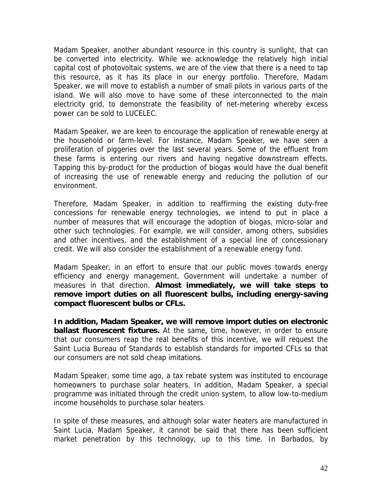Madam Speaker, another abundant resource in this country is sunlight, that can be converted into electricity. While we acknowledge the relatively high initial capital cost of photovoltaic systems, we are of the view that there is a need to tap this resource, as it has its place in our energy portfolio. Therefore, Madam Speaker, we will move to establish a number of small pilots in various parts of the island. We will also move to have some of these interconnected to the main electricity grid, to demonstrate the feasibility of net-metering whereby excess power can be sold to LUCELEC.

Madam Speaker, we are keen to encourage the application of renewable energy at the household or farm-level. For instance, Madam Speaker, we have seen a proliferation of piggeries over the last several years. Some of the effluent from these farms is entering our rivers and having negative downstream effects. Tapping this by-product for the production of biogas would have the dual benefit of increasing the use of renewable energy and reducing the pollution of our environment.

Therefore, Madam Speaker, in addition to reaffirming the existing duty-free concessions for renewable energy technologies, we intend to put in place a number of measures that will encourage the adoption of biogas, micro-solar and other such technologies. For example, we will consider, among others, subsidies and other incentives, and the establishment of a special line of concessionary credit. We will also consider the establishment of a renewable energy fund.

Madam Speaker, in an effort to ensure that our public moves towards energy efficiency and energy management, Government will undertake a number of measures in that direction. **Almost immediately, we will take steps to remove import duties on all fluorescent bulbs, including energy-saving compact fluorescent bulbs or CFLs.** 

**In addition, Madam Speaker, we will remove import duties on electronic ballast fluorescent fixtures.** At the same, time, however, in order to ensure that our consumers reap the real benefits of this incentive, we will request the Saint Lucia Bureau of Standards to establish standards for imported CFLs so that our consumers are not sold cheap imitations.

Madam Speaker, some time ago, a tax rebate system was instituted to encourage homeowners to purchase solar heaters. In addition, Madam Speaker, a special programme was initiated through the credit union system, to allow low-to-medium income households to purchase solar heaters.

In spite of these measures, and although solar water heaters are manufactured in Saint Lucia, Madam Speaker, it cannot be said that there has been sufficient market penetration by this technology, up to this time. In Barbados, by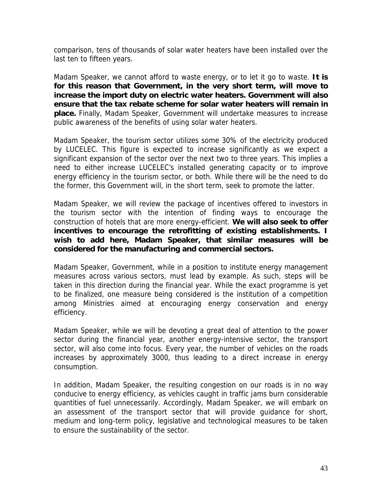comparison, tens of thousands of solar water heaters have been installed over the last ten to fifteen years.

Madam Speaker, we cannot afford to waste energy, or to let it go to waste. **It is for this reason that Government, in the very short term, will move to increase the import duty on electric water heaters. Government will also ensure that the tax rebate scheme for solar water heaters will remain in place.** Finally, Madam Speaker, Government will undertake measures to increase public awareness of the benefits of using solar water heaters.

Madam Speaker, the tourism sector utilizes some 30% of the electricity produced by LUCELEC. This figure is expected to increase significantly as we expect a significant expansion of the sector over the next two to three years. This implies a need to either increase LUCELEC's installed generating capacity or to improve energy efficiency in the tourism sector, or both. While there will be the need to do the former, this Government will, in the short term, seek to promote the latter.

Madam Speaker, we will review the package of incentives offered to investors in the tourism sector with the intention of finding ways to encourage the construction of hotels that are more energy-efficient. **We will also seek to offer incentives to encourage the retrofitting of existing establishments. I wish to add here, Madam Speaker, that similar measures will be considered for the manufacturing and commercial sectors.** 

Madam Speaker, Government, while in a position to institute energy management measures across various sectors, must lead by example. As such, steps will be taken in this direction during the financial year. While the exact programme is yet to be finalized, one measure being considered is the institution of a competition among Ministries aimed at encouraging energy conservation and energy efficiency.

Madam Speaker, while we will be devoting a great deal of attention to the power sector during the financial year, another energy-intensive sector, the transport sector, will also come into focus. Every year, the number of vehicles on the roads increases by approximately 3000, thus leading to a direct increase in energy consumption.

In addition, Madam Speaker, the resulting congestion on our roads is in no way conducive to energy efficiency, as vehicles caught in traffic jams burn considerable quantities of fuel unnecessarily. Accordingly, Madam Speaker, we will embark on an assessment of the transport sector that will provide guidance for short, medium and long-term policy, legislative and technological measures to be taken to ensure the sustainability of the sector.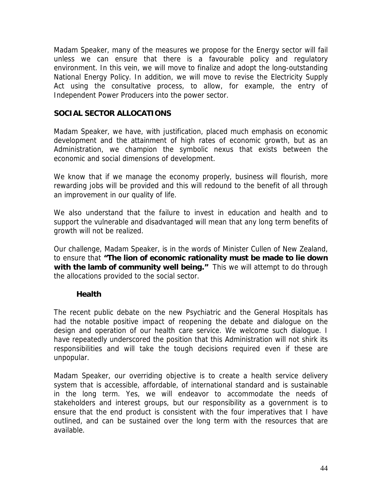Madam Speaker, many of the measures we propose for the Energy sector will fail unless we can ensure that there is a favourable policy and regulatory environment. In this vein, we will move to finalize and adopt the long-outstanding National Energy Policy. In addition, we will move to revise the Electricity Supply Act using the consultative process, to allow, for example, the entry of Independent Power Producers into the power sector.

#### **SOCIAL SECTOR ALLOCATIONS**

Madam Speaker, we have, with justification, placed much emphasis on economic development and the attainment of high rates of economic growth, but as an Administration, we champion the symbolic nexus that exists between the economic and social dimensions of development.

We know that if we manage the economy properly, business will flourish, more rewarding jobs will be provided and this will redound to the benefit of all through an improvement in our quality of life.

We also understand that the failure to invest in education and health and to support the vulnerable and disadvantaged will mean that any long term benefits of growth will not be realized.

Our challenge, Madam Speaker, is in the words of Minister Cullen of New Zealand, to ensure that **"The lion of economic rationality must be made to lie down with the lamb of community well being."** This we will attempt to do through the allocations provided to the social sector.

#### **Health**

The recent public debate on the new Psychiatric and the General Hospitals has had the notable positive impact of reopening the debate and dialogue on the design and operation of our health care service. We welcome such dialogue. I have repeatedly underscored the position that this Administration will not shirk its responsibilities and will take the tough decisions required even if these are unpopular.

Madam Speaker, our overriding objective is to create a health service delivery system that is accessible, affordable, of international standard and is sustainable in the long term. Yes, we will endeavor to accommodate the needs of stakeholders and interest groups, but our responsibility as a government is to ensure that the end product is consistent with the four imperatives that I have outlined, and can be sustained over the long term with the resources that are available.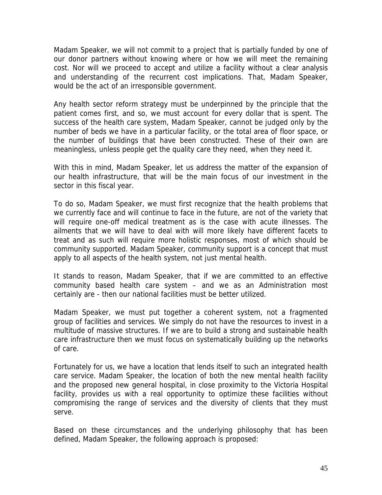Madam Speaker, we will not commit to a project that is partially funded by one of our donor partners without knowing where or how we will meet the remaining cost. Nor will we proceed to accept and utilize a facility without a clear analysis and understanding of the recurrent cost implications. That, Madam Speaker, would be the act of an irresponsible government.

Any health sector reform strategy must be underpinned by the principle that the patient comes first, and so, we must account for every dollar that is spent. The success of the health care system, Madam Speaker, cannot be judged only by the number of beds we have in a particular facility, or the total area of floor space, or the number of buildings that have been constructed. These of their own are meaningless, unless people get the quality care they need, when they need it.

With this in mind, Madam Speaker, let us address the matter of the expansion of our health infrastructure, that will be the main focus of our investment in the sector in this fiscal year.

To do so, Madam Speaker, we must first recognize that the health problems that we currently face and will continue to face in the future, are not of the variety that will require one-off medical treatment as is the case with acute illnesses. The ailments that we will have to deal with will more likely have different facets to treat and as such will require more holistic responses, most of which should be community supported. Madam Speaker, community support is a concept that must apply to all aspects of the health system, not just mental health.

It stands to reason, Madam Speaker, that if we are committed to an effective community based health care system – and we as an Administration most certainly are - then our national facilities must be better utilized.

Madam Speaker, we must put together a coherent system, not a fragmented group of facilities and services. We simply do not have the resources to invest in a multitude of massive structures. If we are to build a strong and sustainable health care infrastructure then we must focus on systematically building up the networks of care.

Fortunately for us, we have a location that lends itself to such an integrated health care service. Madam Speaker, the location of both the new mental health facility and the proposed new general hospital, in close proximity to the Victoria Hospital facility, provides us with a real opportunity to optimize these facilities without compromising the range of services and the diversity of clients that they must serve.

Based on these circumstances and the underlying philosophy that has been defined, Madam Speaker, the following approach is proposed: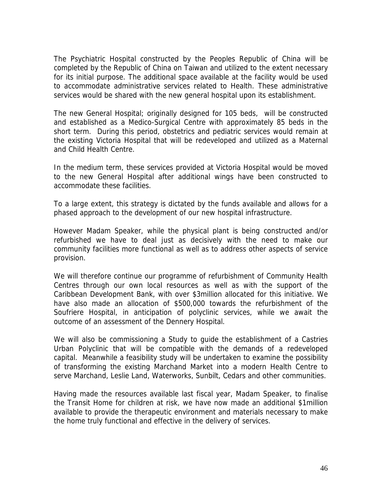The Psychiatric Hospital constructed by the Peoples Republic of China will be completed by the Republic of China on Taiwan and utilized to the extent necessary for its initial purpose. The additional space available at the facility would be used to accommodate administrative services related to Health. These administrative services would be shared with the new general hospital upon its establishment.

The new General Hospital; originally designed for 105 beds, will be constructed and established as a Medico-Surgical Centre with approximately 85 beds in the short term. During this period, obstetrics and pediatric services would remain at the existing Victoria Hospital that will be redeveloped and utilized as a Maternal and Child Health Centre.

In the medium term, these services provided at Victoria Hospital would be moved to the new General Hospital after additional wings have been constructed to accommodate these facilities.

To a large extent, this strategy is dictated by the funds available and allows for a phased approach to the development of our new hospital infrastructure.

However Madam Speaker, while the physical plant is being constructed and/or refurbished we have to deal just as decisively with the need to make our community facilities more functional as well as to address other aspects of service provision.

We will therefore continue our programme of refurbishment of Community Health Centres through our own local resources as well as with the support of the Caribbean Development Bank, with over \$3million allocated for this initiative. We have also made an allocation of \$500,000 towards the refurbishment of the Soufriere Hospital, in anticipation of polyclinic services, while we await the outcome of an assessment of the Dennery Hospital.

We will also be commissioning a Study to guide the establishment of a Castries Urban Polyclinic that will be compatible with the demands of a redeveloped capital. Meanwhile a feasibility study will be undertaken to examine the possibility of transforming the existing Marchand Market into a modern Health Centre to serve Marchand, Leslie Land, Waterworks, Sunbilt, Cedars and other communities.

Having made the resources available last fiscal year, Madam Speaker, to finalise the Transit Home for children at risk, we have now made an additional \$1million available to provide the therapeutic environment and materials necessary to make the home truly functional and effective in the delivery of services.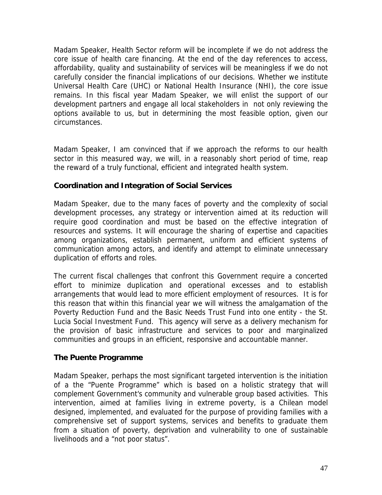Madam Speaker, Health Sector reform will be incomplete if we do not address the core issue of health care financing. At the end of the day references to access, affordability, quality and sustainability of services will be meaningless if we do not carefully consider the financial implications of our decisions. Whether we institute Universal Health Care (UHC) or National Health Insurance (NHI), the core issue remains. In this fiscal year Madam Speaker, we will enlist the support of our development partners and engage all local stakeholders in not only reviewing the options available to us, but in determining the most feasible option, given our circumstances.

Madam Speaker, I am convinced that if we approach the reforms to our health sector in this measured way, we will, in a reasonably short period of time, reap the reward of a truly functional, efficient and integrated health system.

# **Coordination and Integration of Social Services**

Madam Speaker, due to the many faces of poverty and the complexity of social development processes, any strategy or intervention aimed at its reduction will require good coordination and must be based on the effective integration of resources and systems. It will encourage the sharing of expertise and capacities among organizations, establish permanent, uniform and efficient systems of communication among actors, and identify and attempt to eliminate unnecessary duplication of efforts and roles.

The current fiscal challenges that confront this Government require a concerted effort to minimize duplication and operational excesses and to establish arrangements that would lead to more efficient employment of resources. It is for this reason that within this financial year we will witness the amalgamation of the Poverty Reduction Fund and the Basic Needs Trust Fund into one entity - the St. Lucia Social Investment Fund. This agency will serve as a delivery mechanism for the provision of basic infrastructure and services to poor and marginalized communities and groups in an efficient, responsive and accountable manner.

# **The Puente Programme**

Madam Speaker, perhaps the most significant targeted intervention is the initiation of a the "Puente Programme" which is based on a holistic strategy that will complement Government's community and vulnerable group based activities. This intervention, aimed at families living in extreme poverty, is a Chilean model designed, implemented, and evaluated for the purpose of providing families with a comprehensive set of support systems, services and benefits to graduate them from a situation of poverty, deprivation and vulnerability to one of sustainable livelihoods and a "not poor status".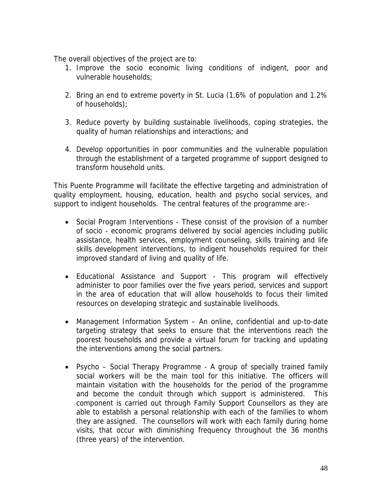The overall objectives of the project are to:

- 1. Improve the socio economic living conditions of indigent, poor and vulnerable households;
- 2. Bring an end to extreme poverty in St. Lucia (1.6% of population and 1.2% of households);
- 3. Reduce poverty by building sustainable livelihoods, coping strategies, the quality of human relationships and interactions; and
- 4. Develop opportunities in poor communities and the vulnerable population through the establishment of a targeted programme of support designed to transform household units.

This Puente Programme will facilitate the effective targeting and administration of quality employment, housing, education, health and psycho social services, and support to indigent households. The central features of the programme are:-

- Social Program Interventions These consist of the provision of a number of socio - economic programs delivered by social agencies including public assistance, health services, employment counseling, skills training and life skills development interventions, to indigent households required for their improved standard of living and quality of life.
- Educational Assistance and Support This program will effectively administer to poor families over the five years period, services and support in the area of education that will allow households to focus their limited resources on developing strategic and sustainable livelihoods.
- Management Information System An online, confidential and up-to-date targeting strategy that seeks to ensure that the interventions reach the poorest households and provide a virtual forum for tracking and updating the interventions among the social partners.
- Psycho Social Therapy Programme A group of specially trained family social workers will be the main tool for this initiative. The officers will maintain visitation with the households for the period of the programme and become the conduit through which support is administered. This component is carried out through Family Support Counsellors as they are able to establish a personal relationship with each of the families to whom they are assigned. The counsellors will work with each family during home visits, that occur with diminishing frequency throughout the 36 months (three years) of the intervention.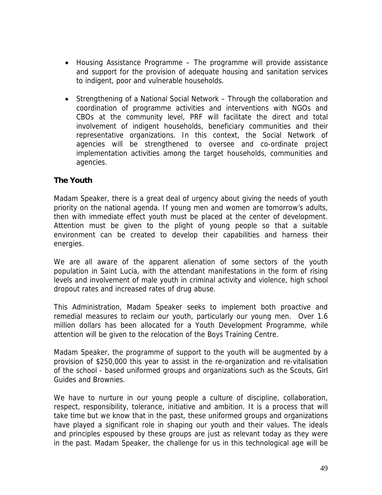- Housing Assistance Programme The programme will provide assistance and support for the provision of adequate housing and sanitation services to indigent, poor and vulnerable households.
- Strengthening of a National Social Network Through the collaboration and coordination of programme activities and interventions with NGOs and CBOs at the community level, PRF will facilitate the direct and total involvement of indigent households, beneficiary communities and their representative organizations. In this context, the Social Network of agencies will be strengthened to oversee and co-ordinate project implementation activities among the target households, communities and agencies.

# **The Youth**

Madam Speaker, there is a great deal of urgency about giving the needs of youth priority on the national agenda. If young men and women are tomorrow's adults, then with immediate effect youth must be placed at the center of development. Attention must be given to the plight of young people so that a suitable environment can be created to develop their capabilities and harness their energies.

We are all aware of the apparent alienation of some sectors of the youth population in Saint Lucia, with the attendant manifestations in the form of rising levels and involvement of male youth in criminal activity and violence, high school dropout rates and increased rates of drug abuse.

This Administration, Madam Speaker seeks to implement both proactive and remedial measures to reclaim our youth, particularly our young men. Over 1.6 million dollars has been allocated for a Youth Development Programme, while attention will be given to the relocation of the Boys Training Centre.

Madam Speaker, the programme of support to the youth will be augmented by a provision of \$250,000 this year to assist in the re-organization and re-vitalisation of the school - based uniformed groups and organizations such as the Scouts, Girl Guides and Brownies.

We have to nurture in our young people a culture of discipline, collaboration, respect, responsibility, tolerance, initiative and ambition. It is a process that will take time but we know that in the past, these uniformed groups and organizations have played a significant role in shaping our youth and their values. The ideals and principles espoused by these groups are just as relevant today as they were in the past. Madam Speaker, the challenge for us in this technological age will be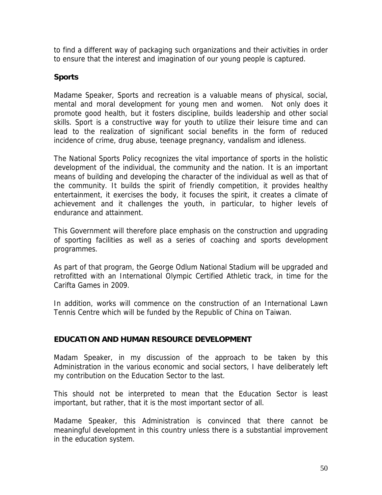to find a different way of packaging such organizations and their activities in order to ensure that the interest and imagination of our young people is captured.

# **Sports**

Madame Speaker, Sports and recreation is a valuable means of physical, social, mental and moral development for young men and women. Not only does it promote good health, but it fosters discipline, builds leadership and other social skills. Sport is a constructive way for youth to utilize their leisure time and can lead to the realization of significant social benefits in the form of reduced incidence of crime, drug abuse, teenage pregnancy, vandalism and idleness.

The National Sports Policy recognizes the vital importance of sports in the holistic development of the individual, the community and the nation. It is an important means of building and developing the character of the individual as well as that of the community. It builds the spirit of friendly competition, it provides healthy entertainment, it exercises the body, it focuses the spirit, it creates a climate of achievement and it challenges the youth, in particular, to higher levels of endurance and attainment.

This Government will therefore place emphasis on the construction and upgrading of sporting facilities as well as a series of coaching and sports development programmes.

As part of that program, the George Odlum National Stadium will be upgraded and retrofitted with an International Olympic Certified Athletic track, in time for the Carifta Games in 2009.

In addition, works will commence on the construction of an International Lawn Tennis Centre which will be funded by the Republic of China on Taiwan.

# **EDUCATION AND HUMAN RESOURCE DEVELOPMENT**

Madam Speaker, in my discussion of the approach to be taken by this Administration in the various economic and social sectors, I have deliberately left my contribution on the Education Sector to the last.

This should not be interpreted to mean that the Education Sector is least important, but rather, that it is the most important sector of all.

Madame Speaker, this Administration is convinced that there cannot be meaningful development in this country unless there is a substantial improvement in the education system.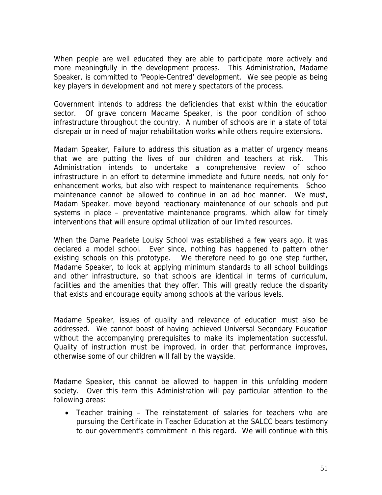When people are well educated they are able to participate more actively and more meaningfully in the development process. This Administration, Madame Speaker, is committed to 'People-Centred' development. We see people as being key players in development and not merely spectators of the process.

Government intends to address the deficiencies that exist within the education sector. Of grave concern Madame Speaker, is the poor condition of school infrastructure throughout the country. A number of schools are in a state of total disrepair or in need of major rehabilitation works while others require extensions.

Madam Speaker, Failure to address this situation as a matter of urgency means that we are putting the lives of our children and teachers at risk. This Administration intends to undertake a comprehensive review of school infrastructure in an effort to determine immediate and future needs, not only for enhancement works, but also with respect to maintenance requirements. School maintenance cannot be allowed to continue in an ad hoc manner. We must, Madam Speaker, move beyond reactionary maintenance of our schools and put systems in place – preventative maintenance programs, which allow for timely interventions that will ensure optimal utilization of our limited resources.

When the Dame Pearlete Louisy School was established a few years ago, it was declared a model school. Ever since, nothing has happened to pattern other existing schools on this prototype. We therefore need to go one step further, Madame Speaker, to look at applying minimum standards to all school buildings and other infrastructure, so that schools are identical in terms of curriculum, facilities and the amenities that they offer. This will greatly reduce the disparity that exists and encourage equity among schools at the various levels.

Madame Speaker, issues of quality and relevance of education must also be addressed. We cannot boast of having achieved Universal Secondary Education without the accompanying prerequisites to make its implementation successful. Quality of instruction must be improved, in order that performance improves, otherwise some of our children will fall by the wayside.

Madame Speaker, this cannot be allowed to happen in this unfolding modern society. Over this term this Administration will pay particular attention to the following areas:

• Teacher training – The reinstatement of salaries for teachers who are pursuing the Certificate in Teacher Education at the SALCC bears testimony to our government's commitment in this regard. We will continue with this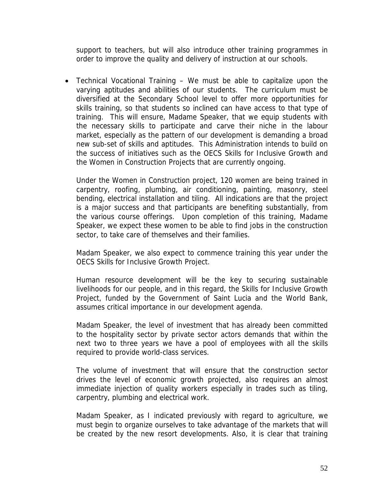support to teachers, but will also introduce other training programmes in order to improve the quality and delivery of instruction at our schools.

• Technical Vocational Training – We must be able to capitalize upon the varying aptitudes and abilities of our students. The curriculum must be diversified at the Secondary School level to offer more opportunities for skills training, so that students so inclined can have access to that type of training. This will ensure, Madame Speaker, that we equip students with the necessary skills to participate and carve their niche in the labour market, especially as the pattern of our development is demanding a broad new sub-set of skills and aptitudes. This Administration intends to build on the success of initiatives such as the OECS Skills for Inclusive Growth and the Women in Construction Projects that are currently ongoing.

Under the Women in Construction project, 120 women are being trained in carpentry, roofing, plumbing, air conditioning, painting, masonry, steel bending, electrical installation and tiling. All indications are that the project is a major success and that participants are benefiting substantially, from the various course offerings. Upon completion of this training, Madame Speaker, we expect these women to be able to find jobs in the construction sector, to take care of themselves and their families.

Madam Speaker, we also expect to commence training this year under the OECS Skills for Inclusive Growth Project.

Human resource development will be the key to securing sustainable livelihoods for our people, and in this regard, the Skills for Inclusive Growth Project, funded by the Government of Saint Lucia and the World Bank, assumes critical importance in our development agenda.

Madam Speaker, the level of investment that has already been committed to the hospitality sector by private sector actors demands that within the next two to three years we have a pool of employees with all the skills required to provide world-class services.

The volume of investment that will ensure that the construction sector drives the level of economic growth projected, also requires an almost immediate injection of quality workers especially in trades such as tiling, carpentry, plumbing and electrical work.

Madam Speaker, as I indicated previously with regard to agriculture, we must begin to organize ourselves to take advantage of the markets that will be created by the new resort developments. Also, it is clear that training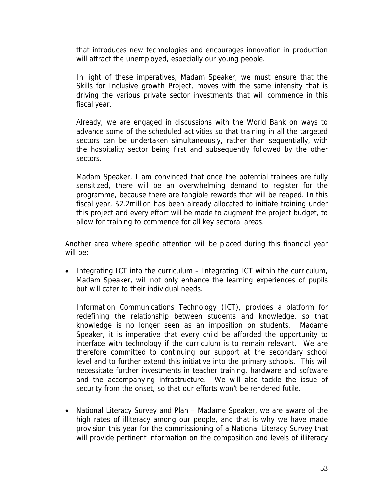that introduces new technologies and encourages innovation in production will attract the unemployed, especially our young people.

In light of these imperatives, Madam Speaker, we must ensure that the Skills for Inclusive growth Project, moves with the same intensity that is driving the various private sector investments that will commence in this fiscal year.

Already, we are engaged in discussions with the World Bank on ways to advance some of the scheduled activities so that training in all the targeted sectors can be undertaken simultaneously, rather than sequentially, with the hospitality sector being first and subsequently followed by the other sectors.

Madam Speaker, I am convinced that once the potential trainees are fully sensitized, there will be an overwhelming demand to register for the programme, because there are tangible rewards that will be reaped. In this fiscal year, \$2.2million has been already allocated to initiate training under this project and every effort will be made to augment the project budget, to allow for training to commence for all key sectoral areas.

Another area where specific attention will be placed during this financial year will be:

• Integrating ICT into the curriculum – Integrating ICT within the curriculum, Madam Speaker, will not only enhance the learning experiences of pupils but will cater to their individual needs.

Information Communications Technology (ICT), provides a platform for redefining the relationship between students and knowledge, so that knowledge is no longer seen as an imposition on students. Madame Speaker, it is imperative that every child be afforded the opportunity to interface with technology if the curriculum is to remain relevant. We are therefore committed to continuing our support at the secondary school level and to further extend this initiative into the primary schools. This will necessitate further investments in teacher training, hardware and software and the accompanying infrastructure. We will also tackle the issue of security from the onset, so that our efforts won't be rendered futile.

• National Literacy Survey and Plan – Madame Speaker, we are aware of the high rates of illiteracy among our people, and that is why we have made provision this year for the commissioning of a National Literacy Survey that will provide pertinent information on the composition and levels of illiteracy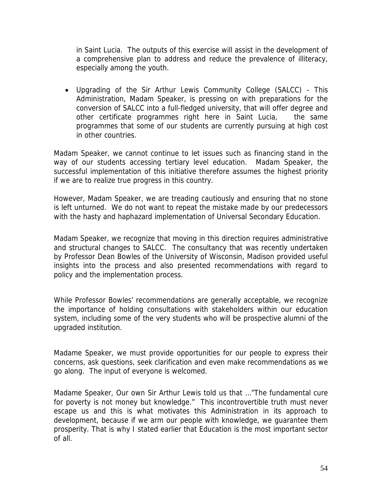in Saint Lucia. The outputs of this exercise will assist in the development of a comprehensive plan to address and reduce the prevalence of illiteracy, especially among the youth.

• Upgrading of the Sir Arthur Lewis Community College (SALCC) - This Administration, Madam Speaker, is pressing on with preparations for the conversion of SALCC into a full-fledged university, that will offer degree and other certificate programmes right here in Saint Lucia, the same programmes that some of our students are currently pursuing at high cost in other countries.

Madam Speaker, we cannot continue to let issues such as financing stand in the way of our students accessing tertiary level education. Madam Speaker, the successful implementation of this initiative therefore assumes the highest priority if we are to realize true progress in this country.

However, Madam Speaker, we are treading cautiously and ensuring that no stone is left unturned. We do not want to repeat the mistake made by our predecessors with the hasty and haphazard implementation of Universal Secondary Education.

Madam Speaker, we recognize that moving in this direction requires administrative and structural changes to SALCC. The consultancy that was recently undertaken by Professor Dean Bowles of the University of Wisconsin, Madison provided useful insights into the process and also presented recommendations with regard to policy and the implementation process.

While Professor Bowles' recommendations are generally acceptable, we recognize the importance of holding consultations with stakeholders within our education system, including some of the very students who will be prospective alumni of the upgraded institution.

Madame Speaker, we must provide opportunities for our people to express their concerns, ask questions, seek clarification and even make recommendations as we go along. The input of everyone is welcomed.

Madame Speaker, Our own Sir Arthur Lewis told us that …"The fundamental cure for poverty is not money but knowledge." This incontrovertible truth must never escape us and this is what motivates this Administration in its approach to development, because if we arm our people with knowledge, we guarantee them prosperity. That is why I stated earlier that Education is the most important sector of all.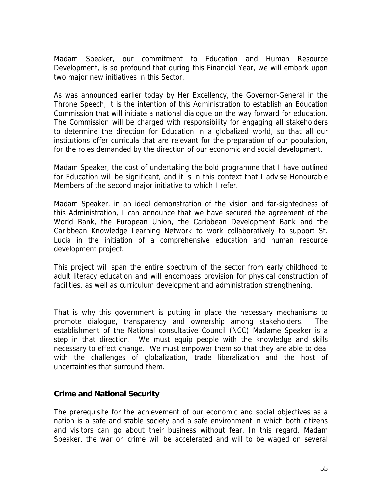Madam Speaker, our commitment to Education and Human Resource Development, is so profound that during this Financial Year, we will embark upon two major new initiatives in this Sector.

As was announced earlier today by Her Excellency, the Governor-General in the Throne Speech, it is the intention of this Administration to establish an Education Commission that will initiate a national dialogue on the way forward for education. The Commission will be charged with responsibility for engaging all stakeholders to determine the direction for Education in a globalized world, so that all our institutions offer curricula that are relevant for the preparation of our population, for the roles demanded by the direction of our economic and social development.

Madam Speaker, the cost of undertaking the bold programme that I have outlined for Education will be significant, and it is in this context that I advise Honourable Members of the second major initiative to which I refer.

Madam Speaker, in an ideal demonstration of the vision and far-sightedness of this Administration, I can announce that we have secured the agreement of the World Bank, the European Union, the Caribbean Development Bank and the Caribbean Knowledge Learning Network to work collaboratively to support St. Lucia in the initiation of a comprehensive education and human resource development project.

This project will span the entire spectrum of the sector from early childhood to adult literacy education and will encompass provision for physical construction of facilities, as well as curriculum development and administration strengthening.

That is why this government is putting in place the necessary mechanisms to promote dialogue, transparency and ownership among stakeholders. The establishment of the National consultative Council (NCC) Madame Speaker is a step in that direction. We must equip people with the knowledge and skills necessary to effect change. We must empower them so that they are able to deal with the challenges of globalization, trade liberalization and the host of uncertainties that surround them.

#### **Crime and National Security**

The prerequisite for the achievement of our economic and social objectives as a nation is a safe and stable society and a safe environment in which both citizens and visitors can go about their business without fear. In this regard, Madam Speaker, the war on crime will be accelerated and will to be waged on several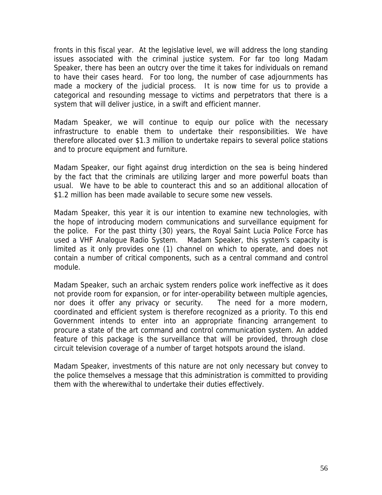fronts in this fiscal year. At the legislative level, we will address the long standing issues associated with the criminal justice system. For far too long Madam Speaker, there has been an outcry over the time it takes for individuals on remand to have their cases heard. For too long, the number of case adjournments has made a mockery of the judicial process. It is now time for us to provide a categorical and resounding message to victims and perpetrators that there is a system that will deliver justice, in a swift and efficient manner.

Madam Speaker, we will continue to equip our police with the necessary infrastructure to enable them to undertake their responsibilities. We have therefore allocated over \$1.3 million to undertake repairs to several police stations and to procure equipment and furniture.

Madam Speaker, our fight against drug interdiction on the sea is being hindered by the fact that the criminals are utilizing larger and more powerful boats than usual. We have to be able to counteract this and so an additional allocation of \$1.2 million has been made available to secure some new vessels.

Madam Speaker, this year it is our intention to examine new technologies, with the hope of introducing modern communications and surveillance equipment for the police. For the past thirty (30) years, the Royal Saint Lucia Police Force has used a VHF Analogue Radio System. Madam Speaker, this system's capacity is limited as it only provides one (1) channel on which to operate, and does not contain a number of critical components, such as a central command and control module.

Madam Speaker, such an archaic system renders police work ineffective as it does not provide room for expansion, or for inter-operability between multiple agencies, nor does it offer any privacy or security. The need for a more modern, coordinated and efficient system is therefore recognized as a priority. To this end Government intends to enter into an appropriate financing arrangement to procure a state of the art command and control communication system. An added feature of this package is the surveillance that will be provided, through close circuit television coverage of a number of target hotspots around the island.

Madam Speaker, investments of this nature are not only necessary but convey to the police themselves a message that this administration is committed to providing them with the wherewithal to undertake their duties effectively.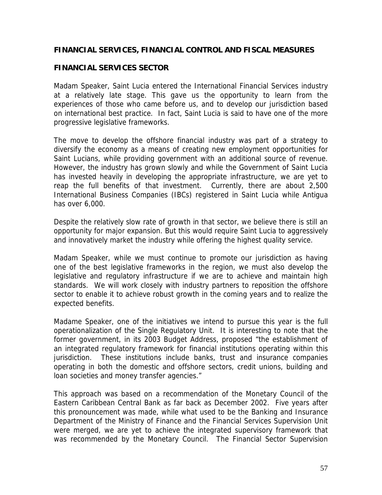# **FINANCIAL SERVICES, FINANCIAL CONTROL AND FISCAL MEASURES**

# **FINANCIAL SERVICES SECTOR**

Madam Speaker, Saint Lucia entered the International Financial Services industry at a relatively late stage. This gave us the opportunity to learn from the experiences of those who came before us, and to develop our jurisdiction based on international best practice. In fact, Saint Lucia is said to have one of the more progressive legislative frameworks.

The move to develop the offshore financial industry was part of a strategy to diversify the economy as a means of creating new employment opportunities for Saint Lucians, while providing government with an additional source of revenue. However, the industry has grown slowly and while the Government of Saint Lucia has invested heavily in developing the appropriate infrastructure, we are yet to reap the full benefits of that investment. Currently, there are about 2,500 International Business Companies (IBCs) registered in Saint Lucia while Antigua has over 6,000.

Despite the relatively slow rate of growth in that sector, we believe there is still an opportunity for major expansion. But this would require Saint Lucia to aggressively and innovatively market the industry while offering the highest quality service.

Madam Speaker, while we must continue to promote our jurisdiction as having one of the best legislative frameworks in the region, we must also develop the legislative and regulatory infrastructure if we are to achieve and maintain high standards. We will work closely with industry partners to reposition the offshore sector to enable it to achieve robust growth in the coming years and to realize the expected benefits.

Madame Speaker, one of the initiatives we intend to pursue this year is the full operationalization of the Single Regulatory Unit. It is interesting to note that the former government, in its 2003 Budget Address, proposed "the establishment of an integrated regulatory framework for financial institutions operating within this jurisdiction. These institutions include banks, trust and insurance companies operating in both the domestic and offshore sectors, credit unions, building and loan societies and money transfer agencies."

This approach was based on a recommendation of the Monetary Council of the Eastern Caribbean Central Bank as far back as December 2002. Five years after this pronouncement was made, while what used to be the Banking and Insurance Department of the Ministry of Finance and the Financial Services Supervision Unit were merged, we are yet to achieve the integrated supervisory framework that was recommended by the Monetary Council. The Financial Sector Supervision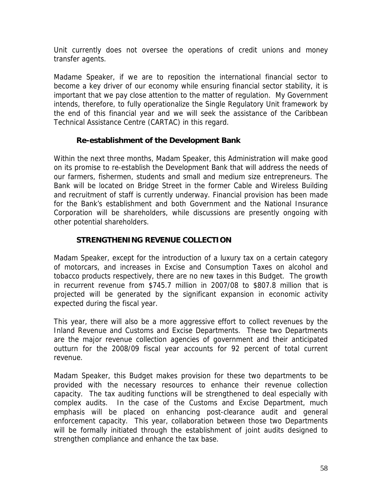Unit currently does not oversee the operations of credit unions and money transfer agents.

Madame Speaker, if we are to reposition the international financial sector to become a key driver of our economy while ensuring financial sector stability, it is important that we pay close attention to the matter of regulation. My Government intends, therefore, to fully operationalize the Single Regulatory Unit framework by the end of this financial year and we will seek the assistance of the Caribbean Technical Assistance Centre (CARTAC) in this regard.

# **Re-establishment of the Development Bank**

Within the next three months, Madam Speaker, this Administration will make good on its promise to re-establish the Development Bank that will address the needs of our farmers, fishermen, students and small and medium size entrepreneurs. The Bank will be located on Bridge Street in the former Cable and Wireless Building and recruitment of staff is currently underway. Financial provision has been made for the Bank's establishment and both Government and the National Insurance Corporation will be shareholders, while discussions are presently ongoing with other potential shareholders.

# **STRENGTHENING REVENUE COLLECTION**

Madam Speaker, except for the introduction of a luxury tax on a certain category of motorcars, and increases in Excise and Consumption Taxes on alcohol and tobacco products respectively, there are no new taxes in this Budget. The growth in recurrent revenue from \$745.7 million in 2007/08 to \$807.8 million that is projected will be generated by the significant expansion in economic activity expected during the fiscal year.

This year, there will also be a more aggressive effort to collect revenues by the Inland Revenue and Customs and Excise Departments. These two Departments are the major revenue collection agencies of government and their anticipated outturn for the 2008/09 fiscal year accounts for 92 percent of total current revenue.

Madam Speaker, this Budget makes provision for these two departments to be provided with the necessary resources to enhance their revenue collection capacity. The tax auditing functions will be strengthened to deal especially with complex audits. In the case of the Customs and Excise Department, much emphasis will be placed on enhancing post-clearance audit and general enforcement capacity. This year, collaboration between those two Departments will be formally initiated through the establishment of joint audits designed to strengthen compliance and enhance the tax base.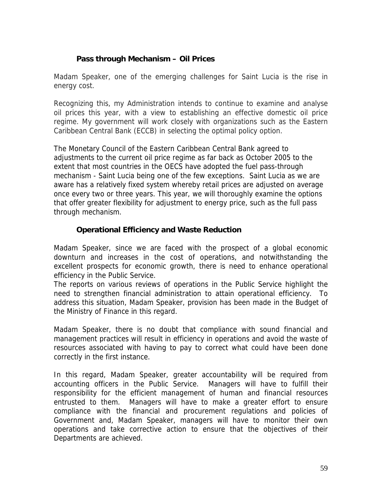# **Pass through Mechanism – Oil Prices**

Madam Speaker, one of the emerging challenges for Saint Lucia is the rise in energy cost.

Recognizing this, my Administration intends to continue to examine and analyse oil prices this year, with a view to establishing an effective domestic oil price regime. My government will work closely with organizations such as the Eastern Caribbean Central Bank (ECCB) in selecting the optimal policy option.

The Monetary Council of the Eastern Caribbean Central Bank agreed to adjustments to the current oil price regime as far back as October 2005 to the extent that most countries in the OECS have adopted the fuel pass-through mechanism - Saint Lucia being one of the few exceptions. Saint Lucia as we are aware has a relatively fixed system whereby retail prices are adjusted on average once every two or three years. This year, we will thoroughly examine the options that offer greater flexibility for adjustment to energy price, such as the full pass through mechanism.

# **Operational Efficiency and Waste Reduction**

Madam Speaker, since we are faced with the prospect of a global economic downturn and increases in the cost of operations, and notwithstanding the excellent prospects for economic growth, there is need to enhance operational efficiency in the Public Service.

The reports on various reviews of operations in the Public Service highlight the need to strengthen financial administration to attain operational efficiency. To address this situation, Madam Speaker, provision has been made in the Budget of the Ministry of Finance in this regard.

Madam Speaker, there is no doubt that compliance with sound financial and management practices will result in efficiency in operations and avoid the waste of resources associated with having to pay to correct what could have been done correctly in the first instance.

In this regard, Madam Speaker, greater accountability will be required from accounting officers in the Public Service. Managers will have to fulfill their responsibility for the efficient management of human and financial resources entrusted to them. Managers will have to make a greater effort to ensure compliance with the financial and procurement regulations and policies of Government and, Madam Speaker, managers will have to monitor their own operations and take corrective action to ensure that the objectives of their Departments are achieved.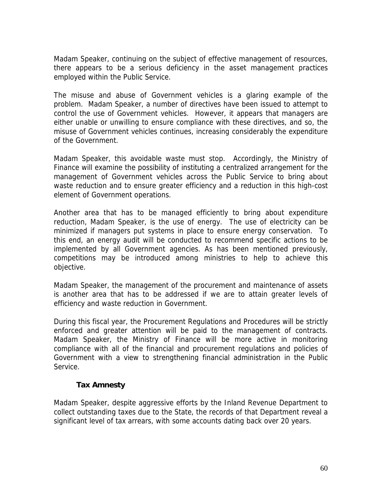Madam Speaker, continuing on the subject of effective management of resources, there appears to be a serious deficiency in the asset management practices employed within the Public Service.

The misuse and abuse of Government vehicles is a glaring example of the problem. Madam Speaker, a number of directives have been issued to attempt to control the use of Government vehicles. However, it appears that managers are either unable or unwilling to ensure compliance with these directives, and so, the misuse of Government vehicles continues, increasing considerably the expenditure of the Government.

Madam Speaker, this avoidable waste must stop. Accordingly, the Ministry of Finance will examine the possibility of instituting a centralized arrangement for the management of Government vehicles across the Public Service to bring about waste reduction and to ensure greater efficiency and a reduction in this high-cost element of Government operations.

Another area that has to be managed efficiently to bring about expenditure reduction, Madam Speaker, is the use of energy. The use of electricity can be minimized if managers put systems in place to ensure energy conservation. To this end, an energy audit will be conducted to recommend specific actions to be implemented by all Government agencies. As has been mentioned previously, competitions may be introduced among ministries to help to achieve this objective.

Madam Speaker, the management of the procurement and maintenance of assets is another area that has to be addressed if we are to attain greater levels of efficiency and waste reduction in Government.

During this fiscal year, the Procurement Regulations and Procedures will be strictly enforced and greater attention will be paid to the management of contracts. Madam Speaker, the Ministry of Finance will be more active in monitoring compliance with all of the financial and procurement regulations and policies of Government with a view to strengthening financial administration in the Public Service.

# **Tax Amnesty**

Madam Speaker, despite aggressive efforts by the Inland Revenue Department to collect outstanding taxes due to the State, the records of that Department reveal a significant level of tax arrears, with some accounts dating back over 20 years.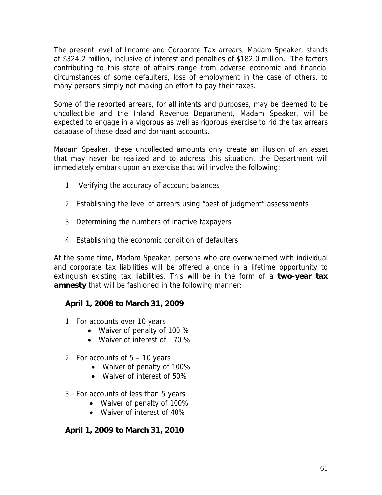The present level of Income and Corporate Tax arrears, Madam Speaker, stands at \$324.2 million, inclusive of interest and penalties of \$182.0 million. The factors contributing to this state of affairs range from adverse economic and financial circumstances of some defaulters, loss of employment in the case of others, to many persons simply not making an effort to pay their taxes.

Some of the reported arrears, for all intents and purposes, may be deemed to be uncollectible and the Inland Revenue Department, Madam Speaker, will be expected to engage in a vigorous as well as rigorous exercise to rid the tax arrears database of these dead and dormant accounts.

Madam Speaker, these uncollected amounts only create an illusion of an asset that may never be realized and to address this situation, the Department will immediately embark upon an exercise that will involve the following:

- 1. Verifying the accuracy of account balances
- 2. Establishing the level of arrears using "best of judgment" assessments
- 3. Determining the numbers of inactive taxpayers
- 4. Establishing the economic condition of defaulters

At the same time, Madam Speaker, persons who are overwhelmed with individual and corporate tax liabilities will be offered a once in a lifetime opportunity to extinguish existing tax liabilities. This will be in the form of a **two-year tax amnesty** that will be fashioned in the following manner:

# **April 1, 2008 to March 31, 2009**

- 1. For accounts over 10 years
	- Waiver of penalty of 100 %
	- Waiver of interest of 70 %
- 2. For accounts of 5 10 years
	- Waiver of penalty of 100%
	- Waiver of interest of 50%
- 3. For accounts of less than 5 years
	- Waiver of penalty of 100%
	- Waiver of interest of 40%

# **April 1, 2009 to March 31, 2010**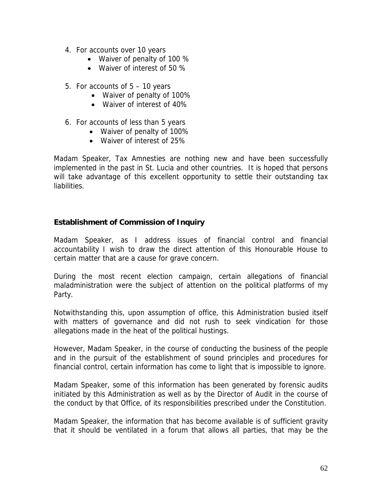- 4. For accounts over 10 years
	- Waiver of penalty of 100 %
	- Waiver of interest of 50 %
- 5. For accounts of 5 10 years
	- Waiver of penalty of 100%
	- Waiver of interest of 40%
- 6. For accounts of less than 5 years
	- Waiver of penalty of 100%
	- Waiver of interest of 25%

Madam Speaker, Tax Amnesties are nothing new and have been successfully implemented in the past in St. Lucia and other countries. It is hoped that persons will take advantage of this excellent opportunity to settle their outstanding tax liabilities.

#### **Establishment of Commission of Inquiry**

Madam Speaker, as I address issues of financial control and financial accountability I wish to draw the direct attention of this Honourable House to certain matter that are a cause for grave concern.

During the most recent election campaign, certain allegations of financial maladministration were the subject of attention on the political platforms of my Party.

Notwithstanding this, upon assumption of office, this Administration busied itself with matters of governance and did not rush to seek vindication for those allegations made in the heat of the political hustings.

However, Madam Speaker, in the course of conducting the business of the people and in the pursuit of the establishment of sound principles and procedures for financial control, certain information has come to light that is impossible to ignore.

Madam Speaker, some of this information has been generated by forensic audits initiated by this Administration as well as by the Director of Audit in the course of the conduct by that Office, of its responsibilities prescribed under the Constitution.

Madam Speaker, the information that has become available is of sufficient gravity that it should be ventilated in a forum that allows all parties, that may be the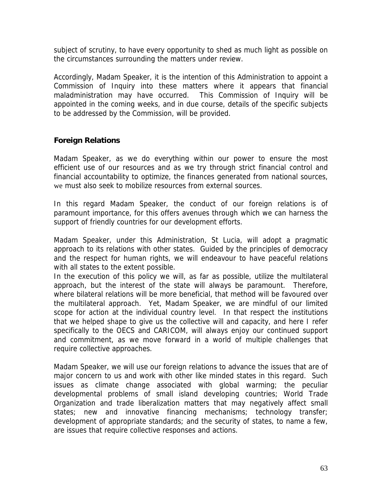subject of scrutiny, to have every opportunity to shed as much light as possible on the circumstances surrounding the matters under review.

Accordingly, Madam Speaker, it is the intention of this Administration to appoint a Commission of Inquiry into these matters where it appears that financial maladministration may have occurred. This Commission of Inquiry will be appointed in the coming weeks, and in due course, details of the specific subjects to be addressed by the Commission, will be provided.

# **Foreign Relations**

Madam Speaker, as we do everything within our power to ensure the most efficient use of our resources and as we try through strict financial control and financial accountability to optimize, the finances generated from national sources, we must also seek to mobilize resources from external sources.

In this regard Madam Speaker, the conduct of our foreign relations is of paramount importance, for this offers avenues through which we can harness the support of friendly countries for our development efforts.

Madam Speaker, under this Administration, St Lucia, will adopt a pragmatic approach to its relations with other states. Guided by the principles of democracy and the respect for human rights, we will endeavour to have peaceful relations with all states to the extent possible.

In the execution of this policy we will, as far as possible, utilize the multilateral approach, but the interest of the state will always be paramount. Therefore, where bilateral relations will be more beneficial, that method will be favoured over the multilateral approach. Yet, Madam Speaker, we are mindful of our limited scope for action at the individual country level. In that respect the institutions that we helped shape to give us the collective will and capacity, and here I refer specifically to the OECS and CARICOM, will always enjoy our continued support and commitment, as we move forward in a world of multiple challenges that require collective approaches.

Madam Speaker, we will use our foreign relations to advance the issues that are of major concern to us and work with other like minded states in this regard. Such issues as climate change associated with global warming; the peculiar developmental problems of small island developing countries; World Trade Organization and trade liberalization matters that may negatively affect small states; new and innovative financing mechanisms; technology transfer; development of appropriate standards; and the security of states, to name a few, are issues that require collective responses and actions.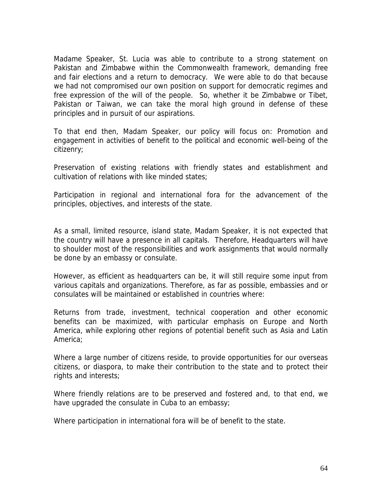Madame Speaker, St. Lucia was able to contribute to a strong statement on Pakistan and Zimbabwe within the Commonwealth framework, demanding free and fair elections and a return to democracy. We were able to do that because we had not compromised our own position on support for democratic regimes and free expression of the will of the people. So, whether it be Zimbabwe or Tibet, Pakistan or Taiwan, we can take the moral high ground in defense of these principles and in pursuit of our aspirations.

To that end then, Madam Speaker, our policy will focus on: Promotion and engagement in activities of benefit to the political and economic well-being of the citizenry;

Preservation of existing relations with friendly states and establishment and cultivation of relations with like minded states;

Participation in regional and international fora for the advancement of the principles, objectives, and interests of the state.

As a small, limited resource, island state, Madam Speaker, it is not expected that the country will have a presence in all capitals. Therefore, Headquarters will have to shoulder most of the responsibilities and work assignments that would normally be done by an embassy or consulate.

However, as efficient as headquarters can be, it will still require some input from various capitals and organizations. Therefore, as far as possible, embassies and or consulates will be maintained or established in countries where:

Returns from trade, investment, technical cooperation and other economic benefits can be maximized, with particular emphasis on Europe and North America, while exploring other regions of potential benefit such as Asia and Latin America;

Where a large number of citizens reside, to provide opportunities for our overseas citizens, or diaspora, to make their contribution to the state and to protect their rights and interests;

Where friendly relations are to be preserved and fostered and, to that end, we have upgraded the consulate in Cuba to an embassy;

Where participation in international fora will be of benefit to the state.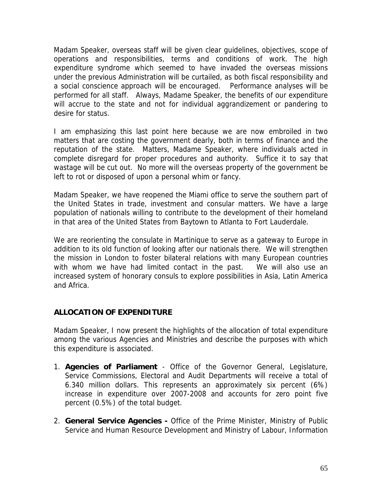Madam Speaker, overseas staff will be given clear guidelines, objectives, scope of operations and responsibilities, terms and conditions of work. The high expenditure syndrome which seemed to have invaded the overseas missions under the previous Administration will be curtailed, as both fiscal responsibility and a social conscience approach will be encouraged. Performance analyses will be performed for all staff. Always, Madame Speaker, the benefits of our expenditure will accrue to the state and not for individual aggrandizement or pandering to desire for status.

I am emphasizing this last point here because we are now embroiled in two matters that are costing the government dearly, both in terms of finance and the reputation of the state. Matters, Madame Speaker, where individuals acted in complete disregard for proper procedures and authority. Suffice it to say that wastage will be cut out. No more will the overseas property of the government be left to rot or disposed of upon a personal whim or fancy.

Madam Speaker, we have reopened the Miami office to serve the southern part of the United States in trade, investment and consular matters. We have a large population of nationals willing to contribute to the development of their homeland in that area of the United States from Baytown to Atlanta to Fort Lauderdale.

We are reorienting the consulate in Martinique to serve as a gateway to Europe in addition to its old function of looking after our nationals there. We will strengthen the mission in London to foster bilateral relations with many European countries with whom we have had limited contact in the past. We will also use an increased system of honorary consuls to explore possibilities in Asia, Latin America and Africa.

#### **ALLOCATION OF EXPENDITURE**

Madam Speaker, I now present the highlights of the allocation of total expenditure among the various Agencies and Ministries and describe the purposes with which this expenditure is associated.

- 1. **Agencies of Parliament** Office of the Governor General, Legislature, Service Commissions, Electoral and Audit Departments will receive a total of 6.340 million dollars. This represents an approximately six percent (6%) increase in expenditure over 2007-2008 and accounts for zero point five percent (0.5%) of the total budget.
- 2. **General Service Agencies** Office of the Prime Minister, Ministry of Public Service and Human Resource Development and Ministry of Labour, Information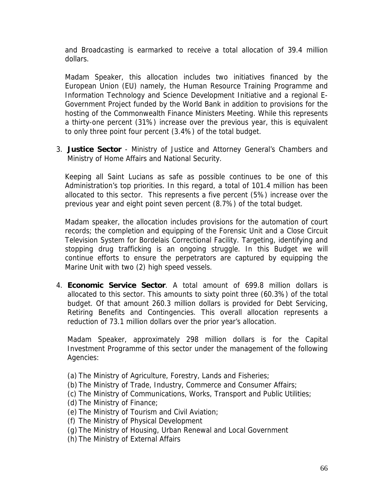and Broadcasting is earmarked to receive a total allocation of 39.4 million dollars.

Madam Speaker, this allocation includes two initiatives financed by the European Union (EU) namely, the Human Resource Training Programme and Information Technology and Science Development Initiative and a regional E-Government Project funded by the World Bank in addition to provisions for the hosting of the Commonwealth Finance Ministers Meeting. While this represents a thirty-one percent (31%) increase over the previous year, this is equivalent to only three point four percent (3.4%) of the total budget.

3. **Justice Sector** - Ministry of Justice and Attorney General's Chambers and Ministry of Home Affairs and National Security.

Keeping all Saint Lucians as safe as possible continues to be one of this Administration's top priorities. In this regard, a total of 101.4 million has been allocated to this sector. This represents a five percent (5%) increase over the previous year and eight point seven percent (8.7%) of the total budget.

Madam speaker, the allocation includes provisions for the automation of court records; the completion and equipping of the Forensic Unit and a Close Circuit Television System for Bordelais Correctional Facility. Targeting, identifying and stopping drug trafficking is an ongoing struggle. In this Budget we will continue efforts to ensure the perpetrators are captured by equipping the Marine Unit with two (2) high speed vessels.

4. **Economic Service Sector**. A total amount of 699.8 million dollars is allocated to this sector. This amounts to sixty point three (60.3%) of the total budget. Of that amount 260.3 million dollars is provided for Debt Servicing, Retiring Benefits and Contingencies. This overall allocation represents a reduction of 73.1 million dollars over the prior year's allocation.

Madam Speaker, approximately 298 million dollars is for the Capital Investment Programme of this sector under the management of the following Agencies:

- (a) The Ministry of Agriculture, Forestry, Lands and Fisheries;
- (b) The Ministry of Trade, Industry, Commerce and Consumer Affairs;
- (c) The Ministry of Communications, Works, Transport and Public Utilities;
- (d) The Ministry of Finance;
- (e) The Ministry of Tourism and Civil Aviation;
- (f) The Ministry of Physical Development
- (g) The Ministry of Housing, Urban Renewal and Local Government
- (h) The Ministry of External Affairs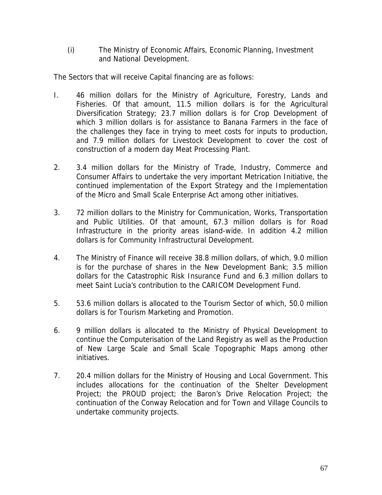(i) The Ministry of Economic Affairs, Economic Planning, Investment and National Development.

The Sectors that will receive Capital financing are as follows:

- I. 46 million dollars for the Ministry of Agriculture, Forestry, Lands and Fisheries. Of that amount, 11.5 million dollars is for the Agricultural Diversification Strategy; 23.7 million dollars is for Crop Development of which 3 million dollars is for assistance to Banana Farmers in the face of the challenges they face in trying to meet costs for inputs to production, and 7.9 million dollars for Livestock Development to cover the cost of construction of a modern day Meat Processing Plant.
- 2. 3.4 million dollars for the Ministry of Trade, Industry, Commerce and Consumer Affairs to undertake the very important Metrication Initiative, the continued implementation of the Export Strategy and the Implementation of the Micro and Small Scale Enterprise Act among other initiatives.
- 3. 72 million dollars to the Ministry for Communication, Works, Transportation and Public Utilities. Of that amount, 67.3 million dollars is for Road Infrastructure in the priority areas island-wide. In addition 4.2 million dollars is for Community Infrastructural Development.
- 4. The Ministry of Finance will receive 38.8 million dollars, of which, 9.0 million is for the purchase of shares in the New Development Bank; 3.5 million dollars for the Catastrophic Risk Insurance Fund and 6.3 million dollars to meet Saint Lucia's contribution to the CARICOM Development Fund.
- 5. 53.6 million dollars is allocated to the Tourism Sector of which, 50.0 million dollars is for Tourism Marketing and Promotion.
- 6. 9 million dollars is allocated to the Ministry of Physical Development to continue the Computerisation of the Land Registry as well as the Production of New Large Scale and Small Scale Topographic Maps among other initiatives.
- 7. 20.4 million dollars for the Ministry of Housing and Local Government. This includes allocations for the continuation of the Shelter Development Project; the PROUD project; the Baron's Drive Relocation Project; the continuation of the Conway Relocation and for Town and Village Councils to undertake community projects.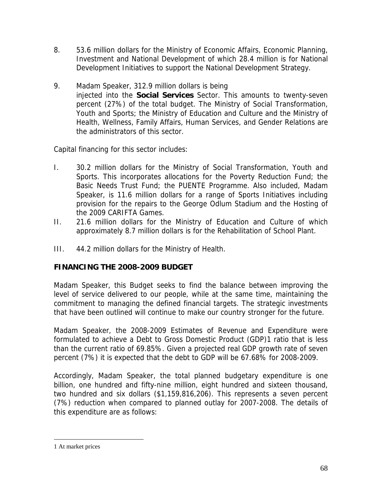- 8. 53.6 million dollars for the Ministry of Economic Affairs, Economic Planning, Investment and National Development of which 28.4 million is for National Development Initiatives to support the National Development Strategy.
- 9. Madam Speaker, 312.9 million dollars is being injected into the **Social Services** Sector. This amounts to twenty-seven percent (27%) of the total budget. The Ministry of Social Transformation, Youth and Sports; the Ministry of Education and Culture and the Ministry of Health, Wellness, Family Affairs, Human Services, and Gender Relations are the administrators of this sector.

Capital financing for this sector includes:

- I. 30.2 million dollars for the Ministry of Social Transformation, Youth and Sports. This incorporates allocations for the Poverty Reduction Fund; the Basic Needs Trust Fund; the PUENTE Programme. Also included, Madam Speaker, is 11.6 million dollars for a range of Sports Initiatives including provision for the repairs to the George Odlum Stadium and the Hosting of the 2009 CARIFTA Games.
- II. 21.6 million dollars for the Ministry of Education and Culture of which approximately 8.7 million dollars is for the Rehabilitation of School Plant.
- III. 44.2 million dollars for the Ministry of Health.

# **FINANCING THE 2008-2009 BUDGET**

Madam Speaker, this Budget seeks to find the balance between improving the level of service delivered to our people, while at the same time, maintaining the commitment to managing the defined financial targets. The strategic investments that have been outlined will continue to make our country stronger for the future.

Madam Speaker, the 2008-2009 Estimates of Revenue and Expenditure were formulated to achieve a Debt to Gross Domestic Product (GDP)1 ratio that is less than the current ratio of 69.85%. Given a projected real GDP growth rate of seven percent (7%) it is expected that the debt to GDP will be 67.68% for 2008-2009.

Accordingly, Madam Speaker, the total planned budgetary expenditure is one billion, one hundred and fifty-nine million, eight hundred and sixteen thousand, two hundred and six dollars (\$1,159,816,206). This represents a seven percent (7%) reduction when compared to planned outlay for 2007-2008. The details of this expenditure are as follows:

 $\overline{a}$ 

<sup>1</sup> At market prices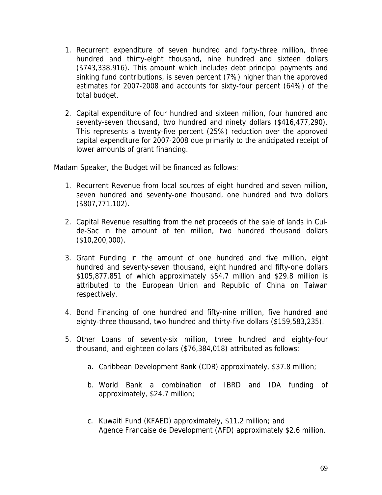- 1. Recurrent expenditure of seven hundred and forty-three million, three hundred and thirty-eight thousand, nine hundred and sixteen dollars (\$743,338,916). This amount which includes debt principal payments and sinking fund contributions, is seven percent (7%) higher than the approved estimates for 2007-2008 and accounts for sixty-four percent (64%) of the total budget.
- 2. Capital expenditure of four hundred and sixteen million, four hundred and seventy-seven thousand, two hundred and ninety dollars (\$416,477,290). This represents a twenty-five percent (25%) reduction over the approved capital expenditure for 2007-2008 due primarily to the anticipated receipt of lower amounts of grant financing.

Madam Speaker, the Budget will be financed as follows:

- 1. Recurrent Revenue from local sources of eight hundred and seven million, seven hundred and seventy-one thousand, one hundred and two dollars (\$807,771,102).
- 2. Capital Revenue resulting from the net proceeds of the sale of lands in Culde-Sac in the amount of ten million, two hundred thousand dollars (\$10,200,000).
- 3. Grant Funding in the amount of one hundred and five million, eight hundred and seventy-seven thousand, eight hundred and fifty-one dollars \$105,877,851 of which approximately \$54.7 million and \$29.8 million is attributed to the European Union and Republic of China on Taiwan respectively.
- 4. Bond Financing of one hundred and fifty-nine million, five hundred and eighty-three thousand, two hundred and thirty-five dollars (\$159,583,235).
- 5. Other Loans of seventy-six million, three hundred and eighty-four thousand, and eighteen dollars (\$76,384,018) attributed as follows:
	- a. Caribbean Development Bank (CDB) approximately, \$37.8 million;
	- b. World Bank a combination of IBRD and IDA funding of approximately, \$24.7 million;
	- c. Kuwaiti Fund (KFAED) approximately, \$11.2 million; and Agence Francaise de Development (AFD) approximately \$2.6 million.